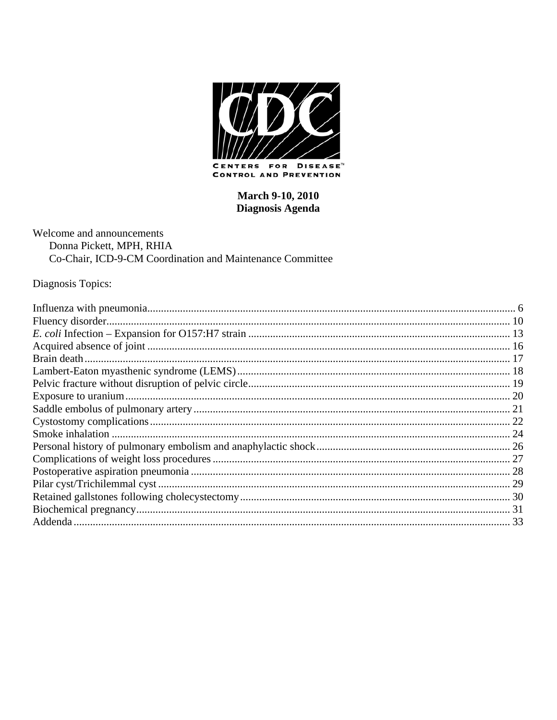

**CONTROL AND PREVENTION** 

## **March 9-10, 2010** Diagnosis Agenda

Welcome and announcements Donna Pickett, MPH, RHIA Co-Chair, ICD-9-CM Coordination and Maintenance Committee

Diagnosis Topics: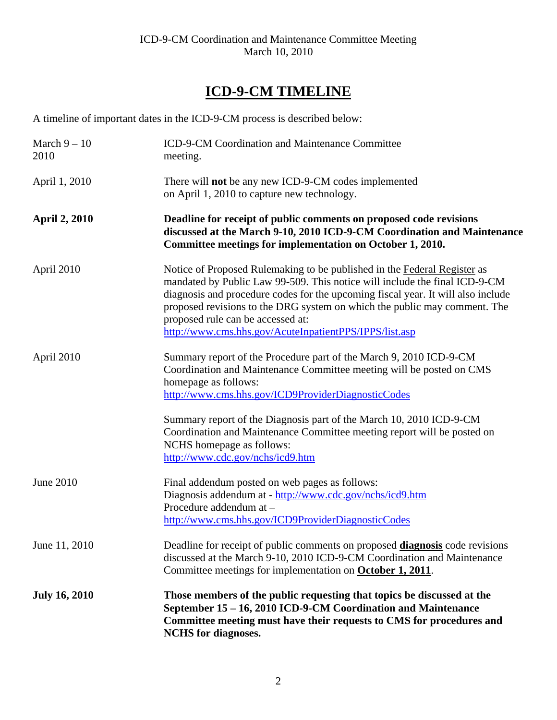# **ICD-9-CM TIMELINE**

A timeline of important dates in the ICD-9-CM process is described below:

| March $9-10$<br>2010 | ICD-9-CM Coordination and Maintenance Committee<br>meeting.                                                                                                                                                                                                                                                                                                                                                            |
|----------------------|------------------------------------------------------------------------------------------------------------------------------------------------------------------------------------------------------------------------------------------------------------------------------------------------------------------------------------------------------------------------------------------------------------------------|
| April 1, 2010        | There will <b>not</b> be any new ICD-9-CM codes implemented<br>on April 1, 2010 to capture new technology.                                                                                                                                                                                                                                                                                                             |
| <b>April 2, 2010</b> | Deadline for receipt of public comments on proposed code revisions<br>discussed at the March 9-10, 2010 ICD-9-CM Coordination and Maintenance<br>Committee meetings for implementation on October 1, 2010.                                                                                                                                                                                                             |
| April 2010           | Notice of Proposed Rulemaking to be published in the Federal Register as<br>mandated by Public Law 99-509. This notice will include the final ICD-9-CM<br>diagnosis and procedure codes for the upcoming fiscal year. It will also include<br>proposed revisions to the DRG system on which the public may comment. The<br>proposed rule can be accessed at:<br>http://www.cms.hhs.gov/AcuteInpatientPPS/IPPS/list.asp |
| April 2010           | Summary report of the Procedure part of the March 9, 2010 ICD-9-CM<br>Coordination and Maintenance Committee meeting will be posted on CMS<br>homepage as follows:<br>http://www.cms.hhs.gov/ICD9ProviderDiagnosticCodes                                                                                                                                                                                               |
|                      | Summary report of the Diagnosis part of the March 10, 2010 ICD-9-CM<br>Coordination and Maintenance Committee meeting report will be posted on<br>NCHS homepage as follows:<br>http://www.cdc.gov/nchs/icd9.htm                                                                                                                                                                                                        |
| June 2010            | Final addendum posted on web pages as follows:<br>Diagnosis addendum at - http://www.cdc.gov/nchs/icd9.htm<br>Procedure addendum at -<br>http://www.cms.hhs.gov/ICD9ProviderDiagnosticCodes                                                                                                                                                                                                                            |
| June 11, 2010        | Deadline for receipt of public comments on proposed <b>diagnosis</b> code revisions<br>discussed at the March 9-10, 2010 ICD-9-CM Coordination and Maintenance<br>Committee meetings for implementation on <b>October 1, 2011</b> .                                                                                                                                                                                    |
| <b>July 16, 2010</b> | Those members of the public requesting that topics be discussed at the<br>September 15 – 16, 2010 ICD-9-CM Coordination and Maintenance<br>Committee meeting must have their requests to CMS for procedures and<br><b>NCHS</b> for diagnoses.                                                                                                                                                                          |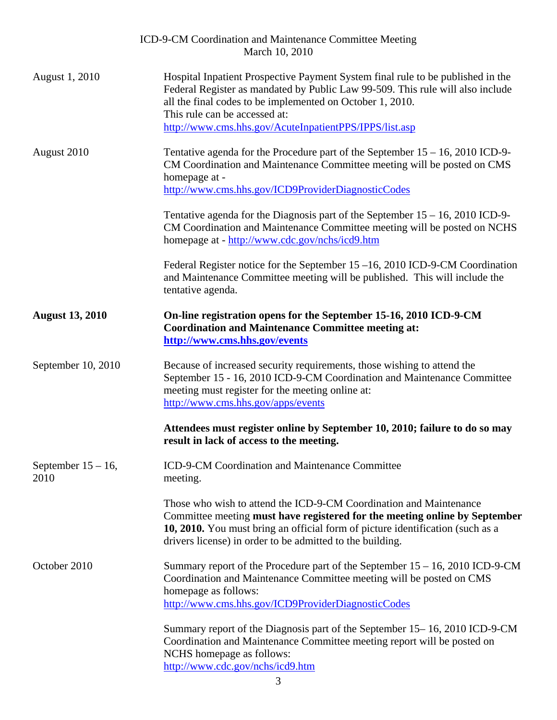|                               | ICD-9-CM Coordination and Maintenance Committee Meeting<br>March 10, 2010                                                                                                                                                                                                                                                 |
|-------------------------------|---------------------------------------------------------------------------------------------------------------------------------------------------------------------------------------------------------------------------------------------------------------------------------------------------------------------------|
| August 1, 2010                | Hospital Inpatient Prospective Payment System final rule to be published in the<br>Federal Register as mandated by Public Law 99-509. This rule will also include<br>all the final codes to be implemented on October 1, 2010.<br>This rule can be accessed at:<br>http://www.cms.hhs.gov/AcuteInpatientPPS/IPPS/list.asp |
| August 2010                   | Tentative agenda for the Procedure part of the September $15 - 16$ , 2010 ICD-9-<br>CM Coordination and Maintenance Committee meeting will be posted on CMS<br>homepage at -<br>http://www.cms.hhs.gov/ICD9ProviderDiagnosticCodes                                                                                        |
|                               | Tentative agenda for the Diagnosis part of the September $15 - 16$ , 2010 ICD-9-<br>CM Coordination and Maintenance Committee meeting will be posted on NCHS<br>homepage at - http://www.cdc.gov/nchs/icd9.htm                                                                                                            |
|                               | Federal Register notice for the September $15-16$ , 2010 ICD-9-CM Coordination<br>and Maintenance Committee meeting will be published. This will include the<br>tentative agenda.                                                                                                                                         |
| <b>August 13, 2010</b>        | On-line registration opens for the September 15-16, 2010 ICD-9-CM<br><b>Coordination and Maintenance Committee meeting at:</b><br>http://www.cms.hhs.gov/events                                                                                                                                                           |
| September 10, 2010            | Because of increased security requirements, those wishing to attend the<br>September 15 - 16, 2010 ICD-9-CM Coordination and Maintenance Committee<br>meeting must register for the meeting online at:<br>http://www.cms.hhs.gov/apps/events                                                                              |
|                               | Attendees must register online by September 10, 2010; failure to do so may<br>result in lack of access to the meeting.                                                                                                                                                                                                    |
| September $15 - 16$ ,<br>2010 | ICD-9-CM Coordination and Maintenance Committee<br>meeting.                                                                                                                                                                                                                                                               |
|                               | Those who wish to attend the ICD-9-CM Coordination and Maintenance<br>Committee meeting must have registered for the meeting online by September<br>10, 2010. You must bring an official form of picture identification (such as a<br>drivers license) in order to be admitted to the building.                           |
| October 2010                  | Summary report of the Procedure part of the September $15 - 16$ , 2010 ICD-9-CM<br>Coordination and Maintenance Committee meeting will be posted on CMS<br>homepage as follows:                                                                                                                                           |
|                               | http://www.cms.hhs.gov/ICD9ProviderDiagnosticCodes                                                                                                                                                                                                                                                                        |
|                               | Summary report of the Diagnosis part of the September 15–16, 2010 ICD-9-CM<br>Coordination and Maintenance Committee meeting report will be posted on<br>NCHS homepage as follows:<br>http://www.cdc.gov/nchs/icd9.htm                                                                                                    |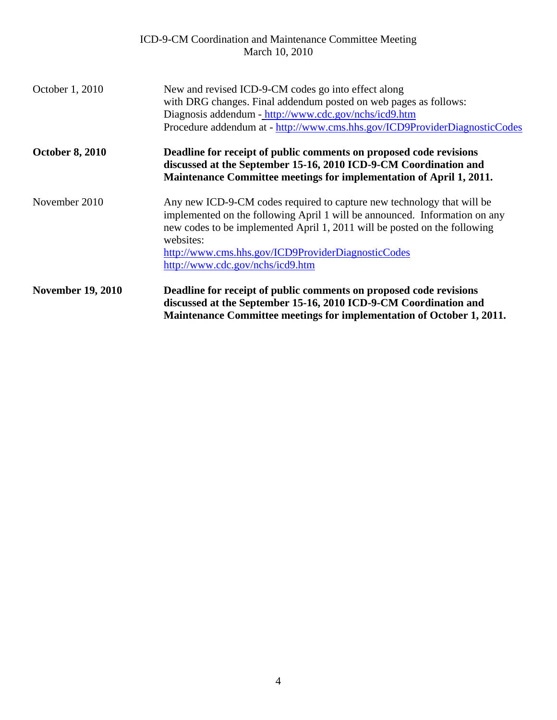|                          | ICD-9-CM Coordination and Maintenance Committee Meeting<br>March 10, 2010                                                                                                                                                                                                                                                                |
|--------------------------|------------------------------------------------------------------------------------------------------------------------------------------------------------------------------------------------------------------------------------------------------------------------------------------------------------------------------------------|
| October 1, 2010          | New and revised ICD-9-CM codes go into effect along<br>with DRG changes. Final addendum posted on web pages as follows:<br>Diagnosis addendum - http://www.cdc.gov/nchs/icd9.htm<br>Procedure addendum at - http://www.cms.hhs.gov/ICD9ProviderDiagnosticCodes                                                                           |
| <b>October 8, 2010</b>   | Deadline for receipt of public comments on proposed code revisions<br>discussed at the September 15-16, 2010 ICD-9-CM Coordination and<br>Maintenance Committee meetings for implementation of April 1, 2011.                                                                                                                            |
| November 2010            | Any new ICD-9-CM codes required to capture new technology that will be<br>implemented on the following April 1 will be announced. Information on any<br>new codes to be implemented April 1, 2011 will be posted on the following<br>websites:<br>http://www.cms.hhs.gov/ICD9ProviderDiagnosticCodes<br>http://www.cdc.gov/nchs/icd9.htm |
| <b>November 19, 2010</b> | Deadline for receipt of public comments on proposed code revisions<br>discussed at the September 15-16, 2010 ICD-9-CM Coordination and<br>Maintenance Committee meetings for implementation of October 1, 2011.                                                                                                                          |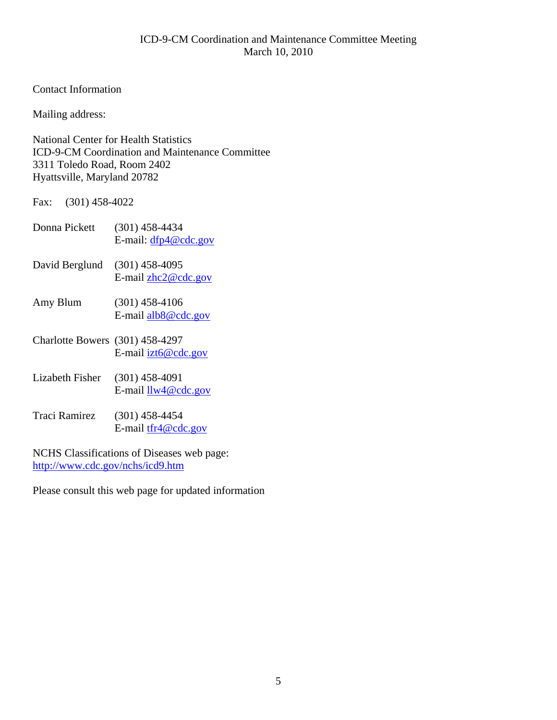## Contact Information

Mailing address:

National Center for Health Statistics ICD-9-CM Coordination and Maintenance Committee 3311 Toledo Road, Room 2402 Hyattsville, Maryland 20782

Fax: (301) 458-4022

| Donna Pickett | $(301)$ 458-4434       |
|---------------|------------------------|
|               | E-mail: $dfp4@cdc.gov$ |
|               |                        |

David Berglund (301) 458-4095 E-mail [zhc2@cdc.gov](mailto:zhc2@cdc.gov)

- Amy Blum (301) 458-4106 E-mail [alb8@cdc.gov](mailto:alb8@cdc.gov)
- Charlotte Bowers (301) 458-4297 E-mail [izt6@cdc.gov](mailto:izt6@cdc.gov)
- Lizabeth Fisher (301) 458-4091 E-mail [llw4@cdc.gov](mailto:llw4@cdc.gov)
- Traci Ramirez (301) 458-4454 E-mail [tfr4@cdc.gov](mailto:tfr4@cdc.gov)

NCHS Classifications of Diseases web page: <http://www.cdc.gov/nchs/icd9.htm>

Please consult this web page for updated information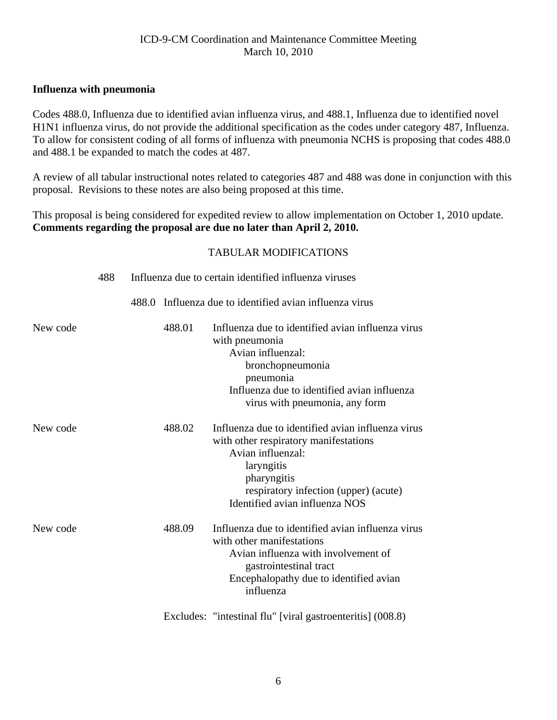## <span id="page-5-0"></span>**Influenza with pneumonia**

Codes 488.0, Influenza due to identified avian influenza virus, and 488.1, Influenza due to identified novel H1N1 influenza virus, do not provide the additional specification as the codes under category 487, Influenza. To allow for consistent coding of all forms of influenza with pneumonia NCHS is proposing that codes 488.0 and 488.1 be expanded to match the codes at 487.

A review of all tabular instructional notes related to categories 487 and 488 was done in conjunction with this proposal. Revisions to these notes are also being proposed at this time.

This proposal is being considered for expedited review to allow implementation on October 1, 2010 update. **Comments regarding the proposal are due no later than April 2, 2010.** 

|          | 488 | Influenza due to certain identified influenza viruses |                                                                                                                                                                                                                         |  |
|----------|-----|-------------------------------------------------------|-------------------------------------------------------------------------------------------------------------------------------------------------------------------------------------------------------------------------|--|
|          |     |                                                       | 488.0 Influenza due to identified avian influenza virus                                                                                                                                                                 |  |
| New code |     | 488.01                                                | Influenza due to identified avian influenza virus<br>with pneumonia<br>Avian influenzal:<br>bronchopneumonia<br>pneumonia<br>Influenza due to identified avian influenza<br>virus with pneumonia, any form              |  |
| New code |     | 488.02                                                | Influenza due to identified avian influenza virus<br>with other respiratory manifestations<br>Avian influenzal:<br>laryngitis<br>pharyngitis<br>respiratory infection (upper) (acute)<br>Identified avian influenza NOS |  |
| New code |     | 488.09                                                | Influenza due to identified avian influenza virus<br>with other manifestations<br>Avian influenza with involvement of<br>gastrointestinal tract<br>Encephalopathy due to identified avian<br>influenza                  |  |
|          |     |                                                       | Excludes: "intestinal flu" [viral gastroenteritis] (008.8)                                                                                                                                                              |  |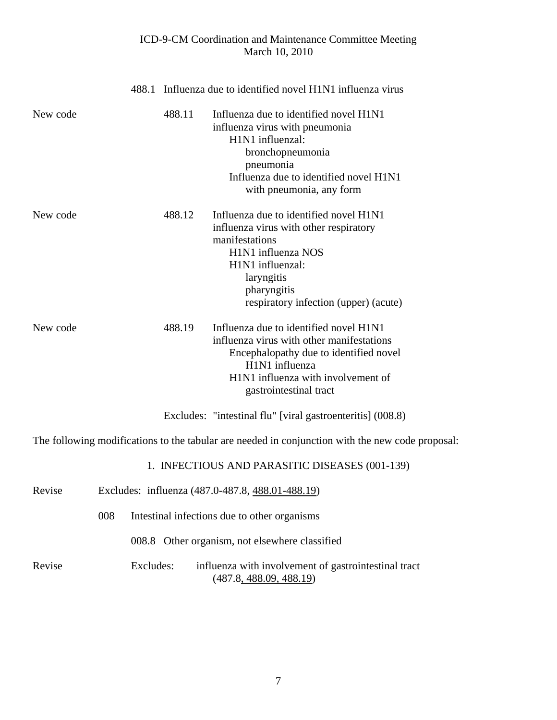|          |           |        | 488.1 Influenza due to identified novel H1N1 influenza virus                                                                                                                                                       |
|----------|-----------|--------|--------------------------------------------------------------------------------------------------------------------------------------------------------------------------------------------------------------------|
| New code |           | 488.11 | Influenza due to identified novel H1N1<br>influenza virus with pneumonia<br>H1N1 influenzal:<br>bronchopneumonia<br>pneumonia<br>Influenza due to identified novel H1N1<br>with pneumonia, any form                |
| New code |           | 488.12 | Influenza due to identified novel H1N1<br>influenza virus with other respiratory<br>manifestations<br>H1N1 influenza NOS<br>H1N1 influenzal:<br>laryngitis<br>pharyngitis<br>respiratory infection (upper) (acute) |
| New code |           | 488.19 | Influenza due to identified novel H1N1<br>influenza virus with other manifestations<br>Encephalopathy due to identified novel<br>H1N1 influenza<br>H1N1 influenza with involvement of<br>gastrointestinal tract    |
|          |           |        | Excludes: "intestinal flu" [viral gastroenteritis] (008.8)                                                                                                                                                         |
|          |           |        | The following modifications to the tabular are needed in conjunction with the new code proposal:                                                                                                                   |
|          |           |        | 1. INFECTIOUS AND PARASITIC DISEASES (001-139)                                                                                                                                                                     |
| Revise   |           |        | Excludes: influenza (487.0-487.8, 488.01-488.19)                                                                                                                                                                   |
|          | 008       |        | Intestinal infections due to other organisms                                                                                                                                                                       |
|          |           |        | 008.8 Other organism, not elsewhere classified                                                                                                                                                                     |
| Revise   | Excludes: |        | influenza with involvement of gastrointestinal tract<br>(487.8, 488.09, 488.19)                                                                                                                                    |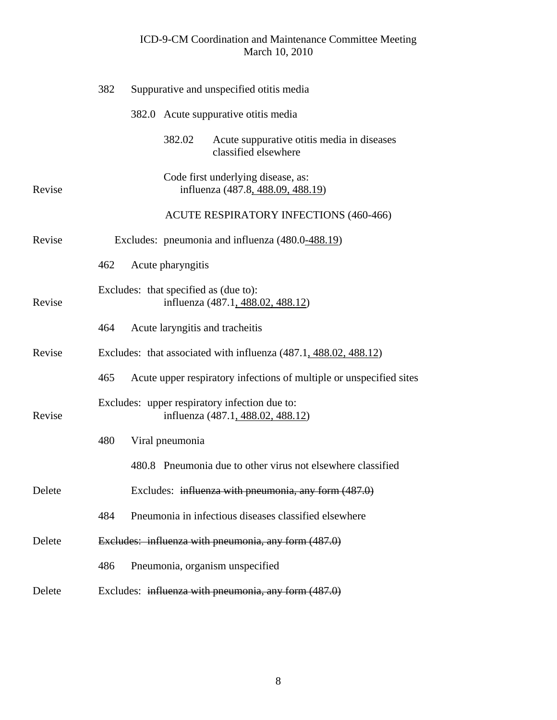|        | 382 |                   | Suppurative and unspecified otitis media                                           |
|--------|-----|-------------------|------------------------------------------------------------------------------------|
|        |     |                   | 382.0 Acute suppurative otitis media                                               |
|        |     | 382.02            | Acute suppurative otitis media in diseases<br>classified elsewhere                 |
| Revise |     |                   | Code first underlying disease, as:<br>influenza (487.8, 488.09, 488.19)            |
|        |     |                   | <b>ACUTE RESPIRATORY INFECTIONS (460-466)</b>                                      |
| Revise |     |                   | Excludes: pneumonia and influenza (480.0-488.19)                                   |
|        | 462 | Acute pharyngitis |                                                                                    |
| Revise |     |                   | Excludes: that specified as (due to):<br>influenza (487.1, 488.02, 488.12)         |
|        | 464 |                   | Acute laryngitis and tracheitis                                                    |
| Revise |     |                   | Excludes: that associated with influenza (487.1, 488.02, 488.12)                   |
|        | 465 |                   | Acute upper respiratory infections of multiple or unspecified sites                |
| Revise |     |                   | Excludes: upper respiratory infection due to:<br>influenza (487.1, 488.02, 488.12) |
|        | 480 | Viral pneumonia   |                                                                                    |
|        |     |                   | 480.8 Pneumonia due to other virus not elsewhere classified                        |
| Delete |     |                   | Excludes: influenza with pneumonia, any form (487.0)                               |
|        | 484 |                   | Pneumonia in infectious diseases classified elsewhere                              |
| Delete |     |                   | Excludes: influenza with pneumonia, any form (487.0)                               |
|        | 486 |                   | Pneumonia, organism unspecified                                                    |
| Delete |     |                   | Excludes: influenza with pneumonia, any form (487.0)                               |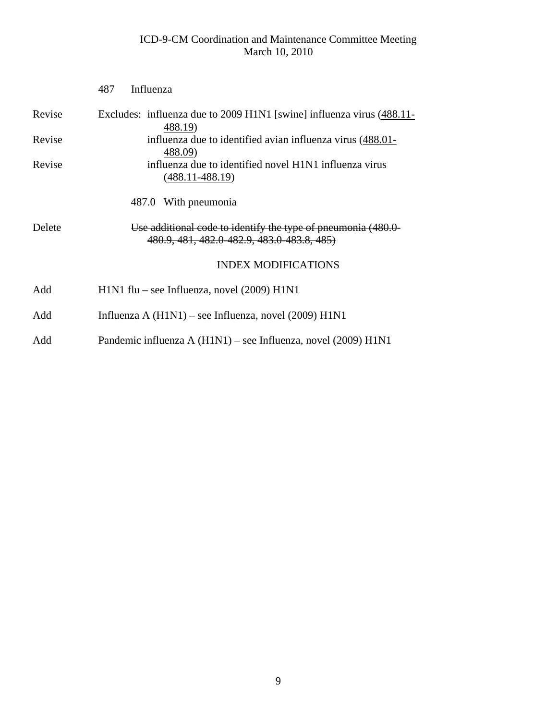|        | Influenza<br>487                                                                                           |
|--------|------------------------------------------------------------------------------------------------------------|
| Revise | Excludes: influenza due to 2009 H1N1 [swine] influenza virus (488.11-<br>488.19                            |
| Revise | influenza due to identified avian influenza virus (488.01-<br>488.09)                                      |
| Revise | influenza due to identified novel H1N1 influenza virus<br>(488.11-488.19)                                  |
|        | 487.0 With pneumonia                                                                                       |
| Delete | Use additional code to identify the type of pneumonia (480.0<br>480.9, 481, 482.0 482.9, 483.0 483.8, 485) |
|        | <b>INDEX MODIFICATIONS</b>                                                                                 |
| Add    | $H1N1$ flu – see Influenza, novel (2009) $H1N1$                                                            |
| Add    | Influenza A $(H1N1)$ – see Influenza, novel $(2009) H1N1$                                                  |
| Add    | Pandemic influenza A (H1N1) – see Influenza, novel (2009) H1N1                                             |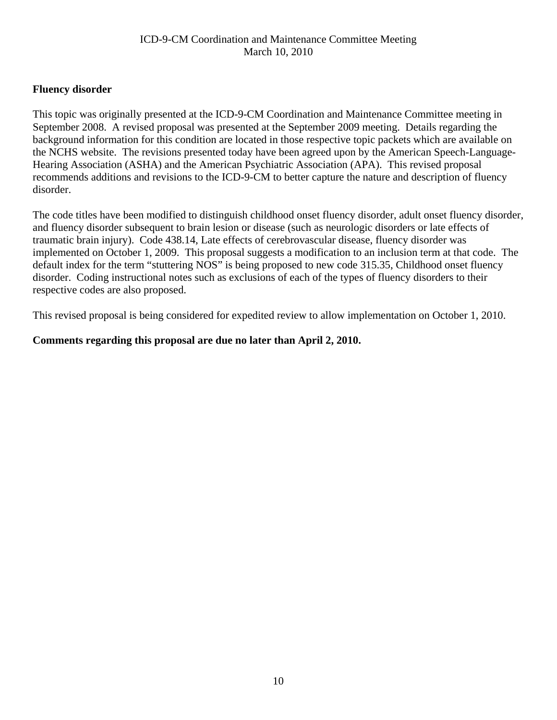## <span id="page-9-0"></span>**Fluency disorder**

This topic was originally presented at the ICD-9-CM Coordination and Maintenance Committee meeting in September 2008. A revised proposal was presented at the September 2009 meeting. Details regarding the background information for this condition are located in those respective topic packets which are available on the NCHS website. The revisions presented today have been agreed upon by the American Speech-Language-Hearing Association (ASHA) and the American Psychiatric Association (APA). This revised proposal recommends additions and revisions to the ICD-9-CM to better capture the nature and description of fluency disorder.

The code titles have been modified to distinguish childhood onset fluency disorder, adult onset fluency disorder, and fluency disorder subsequent to brain lesion or disease (such as neurologic disorders or late effects of traumatic brain injury). Code 438.14, Late effects of cerebrovascular disease, fluency disorder was implemented on October 1, 2009. This proposal suggests a modification to an inclusion term at that code. The default index for the term "stuttering NOS" is being proposed to new code 315.35, Childhood onset fluency disorder. Coding instructional notes such as exclusions of each of the types of fluency disorders to their respective codes are also proposed.

This revised proposal is being considered for expedited review to allow implementation on October 1, 2010.

## **Comments regarding this proposal are due no later than April 2, 2010.**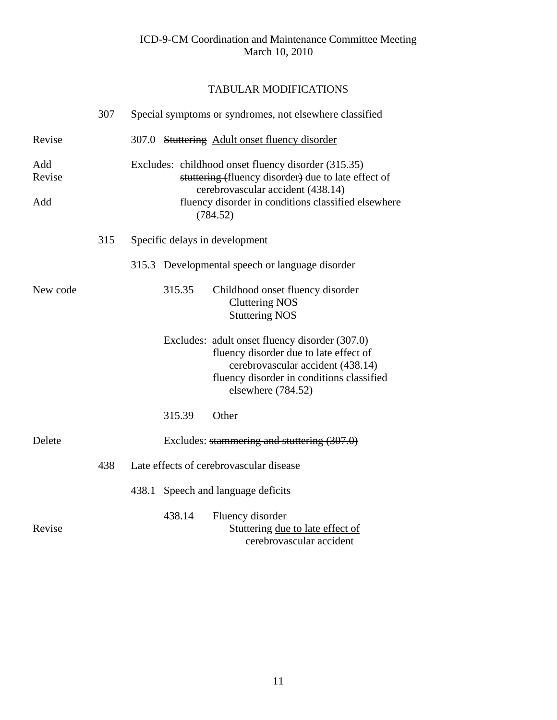|                      | 307 |       |        | Special symptoms or syndromes, not elsewhere classified                                                                                                                                                            |
|----------------------|-----|-------|--------|--------------------------------------------------------------------------------------------------------------------------------------------------------------------------------------------------------------------|
| Revise               |     |       |        | 307.0 Stuttering Adult onset fluency disorder                                                                                                                                                                      |
| Add<br>Revise<br>Add |     |       |        | Excludes: childhood onset fluency disorder (315.35)<br>stuttering (fluency disorder) due to late effect of<br>cerebrovascular accident (438.14)<br>fluency disorder in conditions classified elsewhere<br>(784.52) |
|                      | 315 |       |        | Specific delays in development                                                                                                                                                                                     |
|                      |     |       |        | 315.3 Developmental speech or language disorder                                                                                                                                                                    |
| New code             |     |       | 315.35 | Childhood onset fluency disorder<br><b>Cluttering NOS</b><br><b>Stuttering NOS</b>                                                                                                                                 |
|                      |     |       |        | Excludes: adult onset fluency disorder (307.0)<br>fluency disorder due to late effect of<br>cerebrovascular accident (438.14)<br>fluency disorder in conditions classified<br>elsewhere (784.52)                   |
|                      |     |       | 315.39 | Other                                                                                                                                                                                                              |
| Delete               |     |       |        | Excludes: stammering and stuttering (307.0)                                                                                                                                                                        |
|                      | 438 |       |        | Late effects of cerebrovascular disease                                                                                                                                                                            |
|                      |     | 438.1 |        | Speech and language deficits                                                                                                                                                                                       |
| Revise               |     |       | 438.14 | Fluency disorder<br>Stuttering due to late effect of<br>cerebrovascular accident                                                                                                                                   |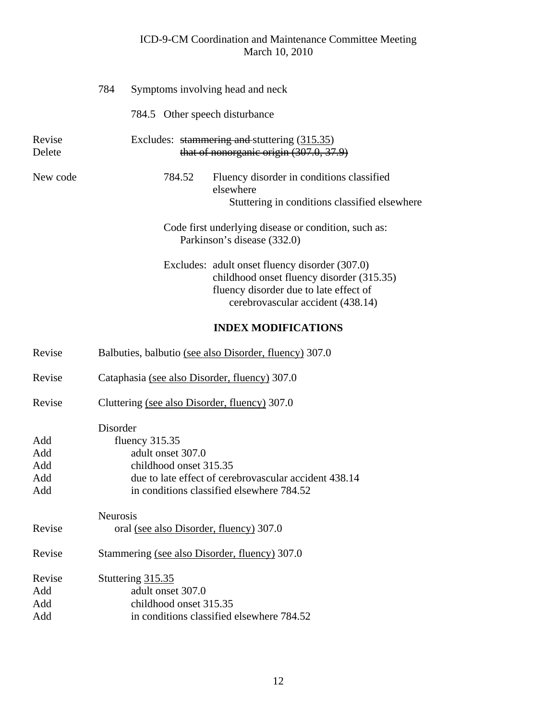|                                 | 784                                               |                        | Symptoms involving head and neck                                                                                                                                           |
|---------------------------------|---------------------------------------------------|------------------------|----------------------------------------------------------------------------------------------------------------------------------------------------------------------------|
|                                 |                                                   |                        | 784.5 Other speech disturbance                                                                                                                                             |
| Revise<br>Delete                |                                                   |                        | Excludes: stammering and stuttering (315.35)<br>that of nonorganic origin (307.0, 37.9)                                                                                    |
| New code                        |                                                   | 784.52                 | Fluency disorder in conditions classified<br>elsewhere<br>Stuttering in conditions classified elsewhere                                                                    |
|                                 |                                                   |                        | Code first underlying disease or condition, such as:<br>Parkinson's disease (332.0)                                                                                        |
|                                 |                                                   |                        | Excludes: adult onset fluency disorder (307.0)<br>childhood onset fluency disorder (315.35)<br>fluency disorder due to late effect of<br>cerebrovascular accident (438.14) |
|                                 |                                                   |                        | <b>INDEX MODIFICATIONS</b>                                                                                                                                                 |
| Revise                          |                                                   |                        | Balbuties, balbutio (see also Disorder, fluency) 307.0                                                                                                                     |
| Revise                          |                                                   |                        | Cataphasia (see also Disorder, fluency) 307.0                                                                                                                              |
| Revise                          |                                                   |                        | Cluttering (see also Disorder, fluency) 307.0                                                                                                                              |
| Add<br>Add<br>Add<br>Add<br>Add | Disorder<br>fluency $315.35$<br>adult onset 307.0 | childhood onset 315.35 | due to late effect of cerebrovascular accident 438.14<br>in conditions classified elsewhere 784.52                                                                         |
| Revise                          | Neurosis                                          |                        | oral (see also Disorder, fluency) 307.0                                                                                                                                    |
| Revise                          |                                                   |                        | Stammering (see also Disorder, fluency) 307.0                                                                                                                              |
| Revise<br>Add<br>Add<br>Add     | Stuttering 315.35<br>adult onset 307.0            | childhood onset 315.35 | in conditions classified elsewhere 784.52                                                                                                                                  |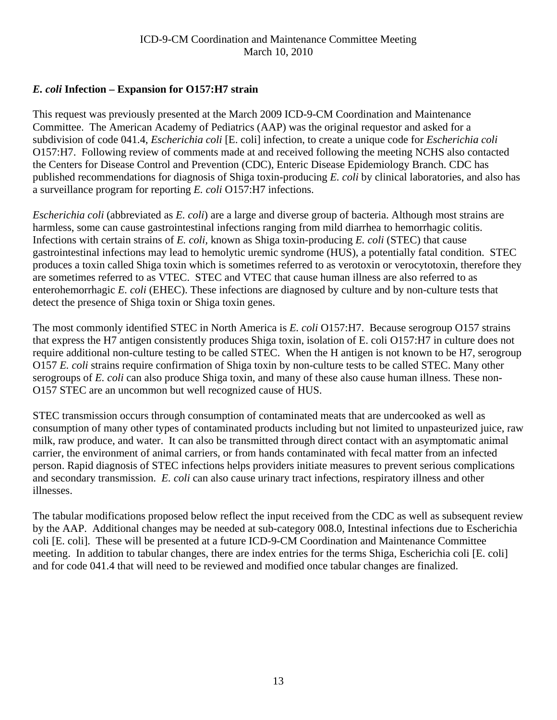## <span id="page-12-0"></span>*E. coli* **Infection – Expansion for O157:H7 strain**

This request was previously presented at the March 2009 ICD-9-CM Coordination and Maintenance Committee. The American Academy of Pediatrics (AAP) was the original requestor and asked for a subdivision of code 041.4, *Escherichia coli* [E. coli] infection, to create a unique code for *Escherichia coli* O157:H7. Following review of comments made at and received following the meeting NCHS also contacted the Centers for Disease Control and Prevention (CDC), Enteric Disease Epidemiology Branch. CDC has published recommendations for diagnosis of Shiga toxin-producing *E. coli* by clinical laboratories, and also has a surveillance program for reporting *E. coli* O157:H7 infections.

*Escherichia coli* (abbreviated as *E. coli*) are a large and diverse group of bacteria. Although most strains are harmless, some can cause gastrointestinal infections ranging from mild diarrhea to hemorrhagic colitis. Infections with certain strains of *E. coli,* known as Shiga toxin-producing *E. coli* (STEC) that cause gastrointestinal infections may lead to hemolytic uremic syndrome (HUS), a potentially fatal condition. STEC produces a toxin called Shiga toxin which is sometimes referred to as verotoxin or verocytotoxin, therefore they are sometimes referred to as VTEC. STEC and VTEC that cause human illness are also referred to as enterohemorrhagic *E. coli* (EHEC). These infections are diagnosed by culture and by non-culture tests that detect the presence of Shiga toxin or Shiga toxin genes.

The most commonly identified STEC in North America is *E. coli* O157:H7. Because serogroup O157 strains that express the H7 antigen consistently produces Shiga toxin, isolation of E. coli O157:H7 in culture does not require additional non-culture testing to be called STEC. When the H antigen is not known to be H7, serogroup O157 *E. coli* strains require confirmation of Shiga toxin by non-culture tests to be called STEC. Many other serogroups of *E. coli* can also produce Shiga toxin, and many of these also cause human illness. These non-O157 STEC are an uncommon but well recognized cause of HUS.

STEC transmission occurs through consumption of contaminated meats that are undercooked as well as consumption of many other types of contaminated products including but not limited to unpasteurized juice, raw milk, raw produce, and water. It can also be transmitted through direct contact with an asymptomatic animal carrier, the environment of animal carriers, or from hands contaminated with fecal matter from an infected person. Rapid diagnosis of STEC infections helps providers initiate measures to prevent serious complications and secondary transmission. *E. coli* can also cause urinary tract infections, respiratory illness and other illnesses.

The tabular modifications proposed below reflect the input received from the CDC as well as subsequent review by the AAP. Additional changes may be needed at sub-category 008.0, Intestinal infections due to Escherichia coli [E. coli]. These will be presented at a future ICD-9-CM Coordination and Maintenance Committee meeting. In addition to tabular changes, there are index entries for the terms Shiga, Escherichia coli [E. coli] and for code 041.4 that will need to be reviewed and modified once tabular changes are finalized.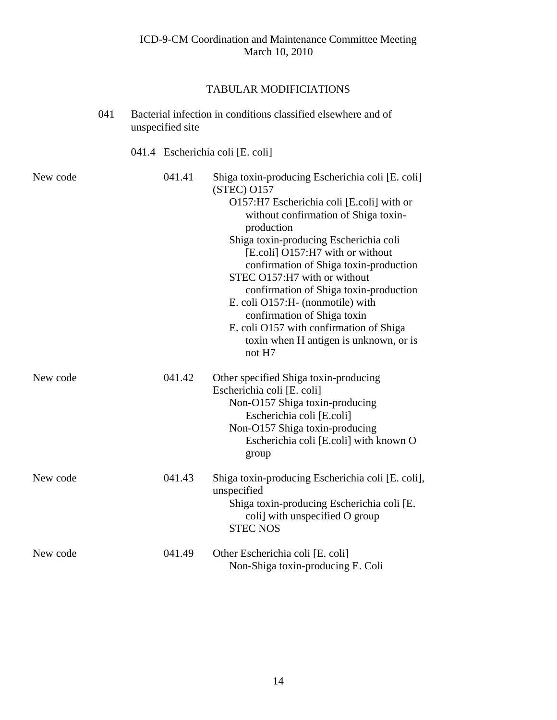|          | 041 | unspecified site | Bacterial infection in conditions classified elsewhere and of                                                                                                                                                                                                                                                                                                                                                                                                                                                                          |
|----------|-----|------------------|----------------------------------------------------------------------------------------------------------------------------------------------------------------------------------------------------------------------------------------------------------------------------------------------------------------------------------------------------------------------------------------------------------------------------------------------------------------------------------------------------------------------------------------|
|          |     |                  | 041.4 Escherichia coli [E. coli]                                                                                                                                                                                                                                                                                                                                                                                                                                                                                                       |
| New code |     | 041.41           | Shiga toxin-producing Escherichia coli [E. coli]<br>(STEC) O157<br>O157:H7 Escherichia coli [E.coli] with or<br>without confirmation of Shiga toxin-<br>production<br>Shiga toxin-producing Escherichia coli<br>[E.coli] O157:H7 with or without<br>confirmation of Shiga toxin-production<br>STEC O157:H7 with or without<br>confirmation of Shiga toxin-production<br>E. coli O157:H- (nonmotile) with<br>confirmation of Shiga toxin<br>E. coli O157 with confirmation of Shiga<br>toxin when H antigen is unknown, or is<br>not H7 |
| New code |     | 041.42           | Other specified Shiga toxin-producing<br>Escherichia coli [E. coli]<br>Non-O157 Shiga toxin-producing<br>Escherichia coli [E.coli]<br>Non-O157 Shiga toxin-producing<br>Escherichia coli [E.coli] with known O<br>group                                                                                                                                                                                                                                                                                                                |
| New code |     | 041.43           | Shiga toxin-producing Escherichia coli [E. coli],<br>unspecified<br>Shiga toxin-producing Escherichia coli [E.<br>coli] with unspecified O group<br><b>STEC NOS</b>                                                                                                                                                                                                                                                                                                                                                                    |
| New code |     | 041.49           | Other Escherichia coli [E. coli]<br>Non-Shiga toxin-producing E. Coli                                                                                                                                                                                                                                                                                                                                                                                                                                                                  |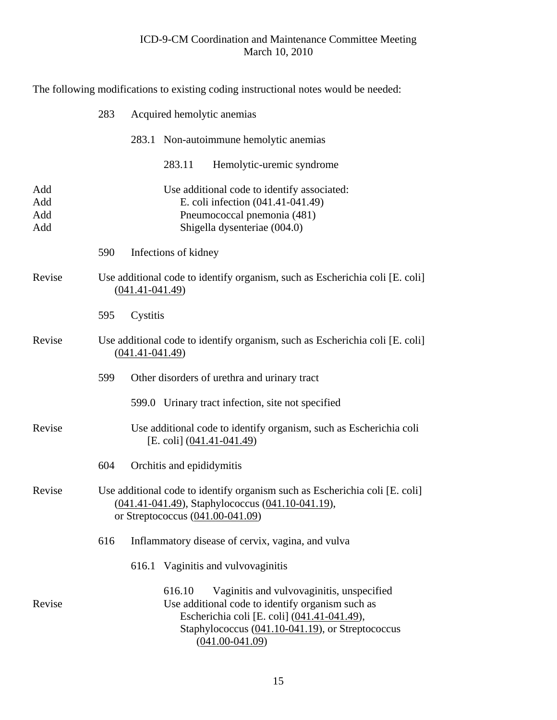The following modifications to existing coding instructional notes would be needed:

 283 Acquired hemolytic anemias 283.1 Non-autoimmune hemolytic anemias 283.11 Hemolytic-uremic syndrome Add Use additional code to identify associated: Add E. coli infection (041.41-041.49) Add Pneumococcal pnemonia (481) Add Shigella dysenteriae (004.0) 590 Infections of kidney Revise Use additional code to identify organism, such as Escherichia coli [E. coli] (041.41-041.49) 595 Cystitis Revise Use additional code to identify organism, such as Escherichia coli [E. coli] (041.41-041.49) 599 Other disorders of urethra and urinary tract 599.0 Urinary tract infection, site not specified Revise Use additional code to identify organism, such as Escherichia coli [E. coli] (041.41-041.49) 604 Orchitis and epididymitis Revise Use additional code to identify organism such as Escherichia coli [E. coli] (041.41-041.49), Staphylococcus (041.10-041.19), or Streptococcus (041.00-041.09) 616 Inflammatory disease of cervix, vagina, and vulva 616.1 Vaginitis and vulvovaginitis 616.10 Vaginitis and vulvovaginitis, unspecified Revise Use additional code to identify organism such as Escherichia coli [E. coli] (041.41-041.49), Staphylococcus (041.10-041.19), or Streptococcus (041.00-041.09)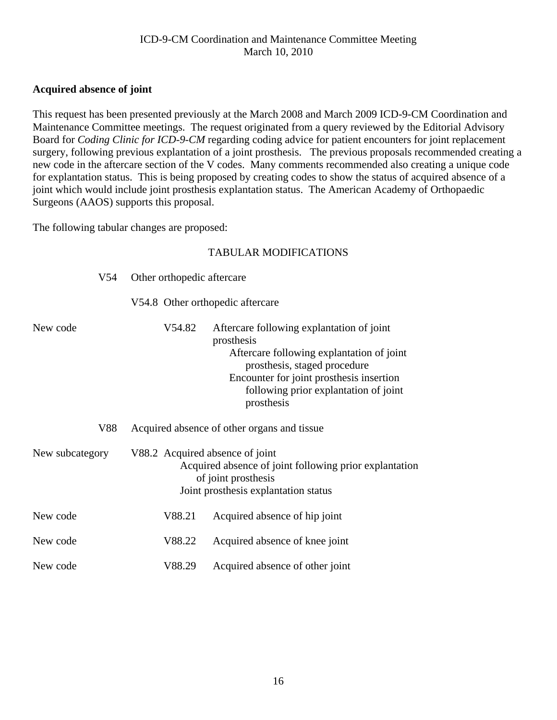## <span id="page-15-0"></span>**Acquired absence of joint**

This request has been presented previously at the March 2008 and March 2009 ICD-9-CM Coordination and Maintenance Committee meetings. The request originated from a query reviewed by the Editorial Advisory Board for *Coding Clinic for ICD-9-CM* regarding coding advice for patient encounters for joint replacement surgery, following previous explantation of a joint prosthesis. The previous proposals recommended creating a new code in the aftercare section of the V codes. Many comments recommended also creating a unique code for explantation status. This is being proposed by creating codes to show the status of acquired absence of a joint which would include joint prosthesis explantation status. The American Academy of Orthopaedic Surgeons (AAOS) supports this proposal.

The following tabular changes are proposed:

| V54             | Other orthopedic aftercare       |                                                                                                                                                                                                                                         |
|-----------------|----------------------------------|-----------------------------------------------------------------------------------------------------------------------------------------------------------------------------------------------------------------------------------------|
|                 | V54.8 Other orthopedic aftercare |                                                                                                                                                                                                                                         |
| New code        | V54.82                           | Aftercare following explantation of joint<br>prosthesis<br>Aftercare following explantation of joint<br>prosthesis, staged procedure<br>Encounter for joint prosthesis insertion<br>following prior explantation of joint<br>prosthesis |
| V88             |                                  | Acquired absence of other organs and tissue                                                                                                                                                                                             |
| New subcategory | V88.2 Acquired absence of joint  | Acquired absence of joint following prior explantation<br>of joint prosthesis<br>Joint prosthesis explantation status                                                                                                                   |
| New code        | V88.21                           | Acquired absence of hip joint                                                                                                                                                                                                           |
| New code        | V88.22                           | Acquired absence of knee joint                                                                                                                                                                                                          |
| New code        | V88.29                           | Acquired absence of other joint                                                                                                                                                                                                         |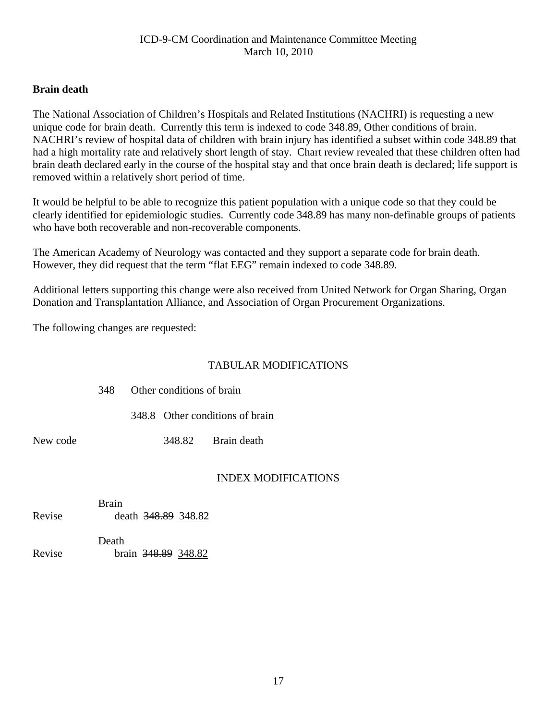## <span id="page-16-0"></span>**Brain death**

The National Association of Children's Hospitals and Related Institutions (NACHRI) is requesting a new unique code for brain death. Currently this term is indexed to code 348.89, Other conditions of brain. NACHRI's review of hospital data of children with brain injury has identified a subset within code 348.89 that had a high mortality rate and relatively short length of stay. Chart review revealed that these children often had brain death declared early in the course of the hospital stay and that once brain death is declared; life support is removed within a relatively short period of time.

It would be helpful to be able to recognize this patient population with a unique code so that they could be clearly identified for epidemiologic studies. Currently code 348.89 has many non-definable groups of patients who have both recoverable and non-recoverable components.

The American Academy of Neurology was contacted and they support a separate code for brain death. However, they did request that the term "flat EEG" remain indexed to code 348.89.

Additional letters supporting this change were also received from United Network for Organ Sharing, Organ Donation and Transplantation Alliance, and Association of Organ Procurement Organizations.

The following changes are requested:

## TABULAR MODIFICATIONS

|          |  | 348 Other conditions of brain |                                 |  |
|----------|--|-------------------------------|---------------------------------|--|
|          |  |                               | 348.8 Other conditions of brain |  |
| New code |  |                               | 348.82 Brain death              |  |

## INDEX MODIFICATIONS

**Brain** Revise death 348.89 348.82

|        | Death |                     |  |
|--------|-------|---------------------|--|
| Revise |       | brain 348.89 348.82 |  |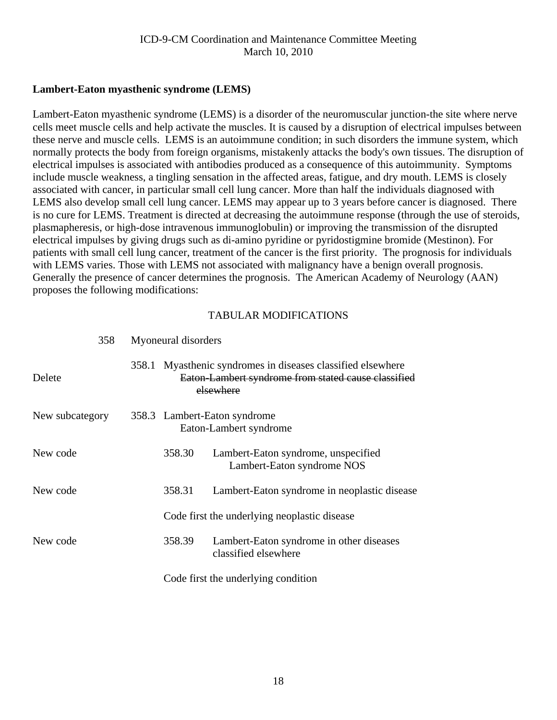## <span id="page-17-0"></span>**Lambert-Eaton myasthenic syndrome (LEMS)**

Lambert-Eaton myasthenic syndrome (LEMS) is a disorder of the neuromuscular junction-the site where nerve cells meet muscle cells and help activate the muscles. It is caused by a disruption of electrical impulses between these nerve and muscle cells. LEMS is an autoimmune condition; in such disorders the immune system, which normally protects the body from foreign organisms, mistakenly attacks the body's own tissues. The disruption of electrical impulses is associated with antibodies produced as a consequence of this autoimmunity. Symptoms include muscle weakness, a tingling sensation in the affected areas, fatigue, and dry mouth. LEMS is closely associated with cancer, in particular small cell lung cancer. More than half the individuals diagnosed with LEMS also develop small cell lung cancer. LEMS may appear up to 3 years before cancer is diagnosed. There is no cure for LEMS. Treatment is directed at decreasing the autoimmune response (through the use of steroids, plasmapheresis, or high-dose intravenous immunoglobulin) or improving the transmission of the disrupted electrical impulses by giving drugs such as di-amino pyridine or pyridostigmine bromide (Mestinon). For patients with small cell lung cancer, treatment of the cancer is the first priority. The prognosis for individuals with LEMS varies. Those with LEMS not associated with malignancy have a benign overall prognosis. Generally the presence of cancer determines the prognosis. The American Academy of Neurology (AAN) proposes the following modifications:

| 358             | Myoneural disorders |                                                                                                                           |                                                                   |  |  |
|-----------------|---------------------|---------------------------------------------------------------------------------------------------------------------------|-------------------------------------------------------------------|--|--|
| Delete          | 358.1               | Myasthenic syndromes in diseases classified elsewhere<br>Eaton-Lambert syndrome from stated cause classified<br>elsewhere |                                                                   |  |  |
| New subcategory |                     |                                                                                                                           | 358.3 Lambert-Eaton syndrome<br>Eaton-Lambert syndrome            |  |  |
| New code        |                     | 358.30                                                                                                                    | Lambert-Eaton syndrome, unspecified<br>Lambert-Eaton syndrome NOS |  |  |
| New code        |                     | 358.31                                                                                                                    | Lambert-Eaton syndrome in neoplastic disease                      |  |  |
|                 |                     |                                                                                                                           | Code first the underlying neoplastic disease                      |  |  |
| New code        |                     | 358.39                                                                                                                    | Lambert-Eaton syndrome in other diseases<br>classified elsewhere  |  |  |
|                 |                     |                                                                                                                           | Code first the underlying condition                               |  |  |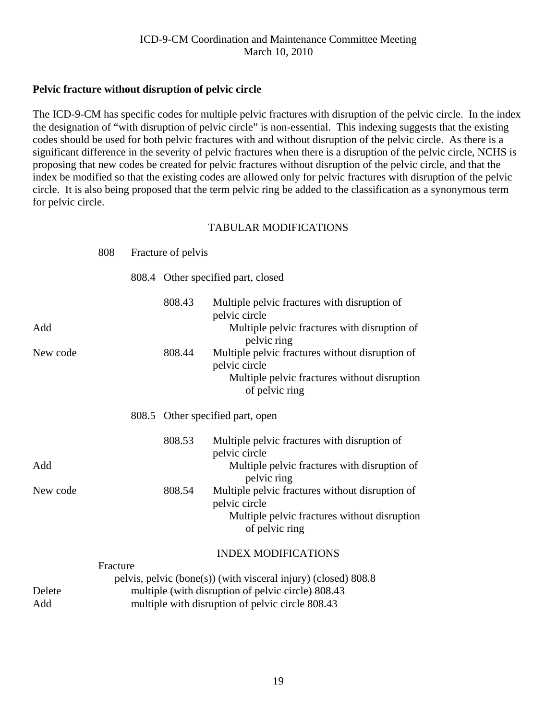## <span id="page-18-0"></span>**Pelvic fracture without disruption of pelvic circle**

The ICD-9-CM has specific codes for multiple pelvic fractures with disruption of the pelvic circle. In the index the designation of "with disruption of pelvic circle" is non-essential. This indexing suggests that the existing codes should be used for both pelvic fractures with and without disruption of the pelvic circle. As there is a significant difference in the severity of pelvic fractures when there is a disruption of the pelvic circle, NCHS is proposing that new codes be created for pelvic fractures without disruption of the pelvic circle, and that the index be modified so that the existing codes are allowed only for pelvic fractures with disruption of the pelvic circle. It is also being proposed that the term pelvic ring be added to the classification as a synonymous term for pelvic circle.

|          | 808      | Fracture of pelvis |                                                                                                                              |
|----------|----------|--------------------|------------------------------------------------------------------------------------------------------------------------------|
|          |          |                    | 808.4 Other specified part, closed                                                                                           |
| Add      |          | 808.43             | Multiple pelvic fractures with disruption of<br>pelvic circle<br>Multiple pelvic fractures with disruption of<br>pelvic ring |
| New code |          | 808.44             | Multiple pelvic fractures without disruption of<br>pelvic circle<br>Multiple pelvic fractures without disruption             |
|          |          |                    | of pelvic ring                                                                                                               |
|          |          |                    | 808.5 Other specified part, open                                                                                             |
|          |          | 808.53             | Multiple pelvic fractures with disruption of<br>pelvic circle                                                                |
| Add      |          |                    | Multiple pelvic fractures with disruption of<br>pelvic ring                                                                  |
| New code |          | 808.54             | Multiple pelvic fractures without disruption of<br>pelvic circle                                                             |
|          |          |                    | Multiple pelvic fractures without disruption<br>of pelvic ring                                                               |
|          |          |                    | <b>INDEX MODIFICATIONS</b>                                                                                                   |
| Delete   | Fracture |                    | pelvis, pelvic (bone(s)) (with visceral injury) (closed) 808.8<br>multiple (with disruption of pelvic circle) 808.43         |
| Add      |          |                    | multiple with disruption of pelvic circle 808.43                                                                             |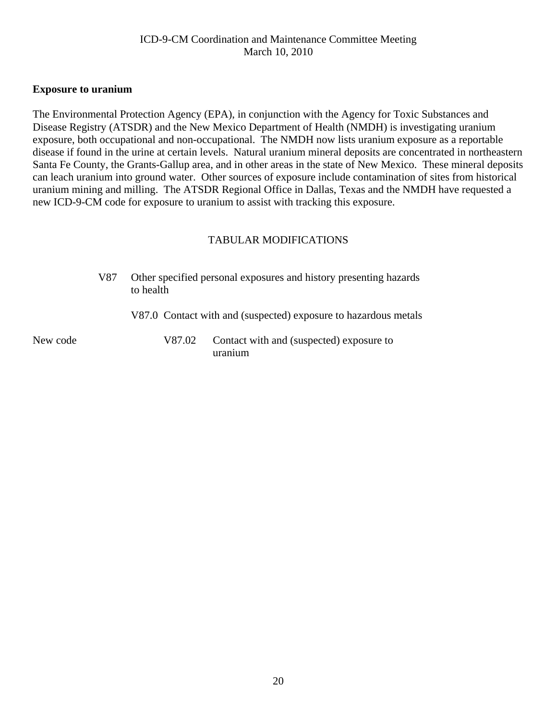#### <span id="page-19-0"></span>**Exposure to uranium**

The Environmental Protection Agency (EPA), in conjunction with the Agency for Toxic Substances and Disease Registry (ATSDR) and the New Mexico Department of Health (NMDH) is investigating uranium exposure, both occupational and non-occupational. The NMDH now lists uranium exposure as a reportable disease if found in the urine at certain levels. Natural uranium mineral deposits are concentrated in northeastern Santa Fe County, the Grants-Gallup area, and in other areas in the state of New Mexico. These mineral deposits can leach uranium into ground water. Other sources of exposure include contamination of sites from historical uranium mining and milling. The ATSDR Regional Office in Dallas, Texas and the NMDH have requested a new ICD-9-CM code for exposure to uranium to assist with tracking this exposure.

## TABULAR MODIFICATIONS

|          | V87 | to health | Other specified personal exposures and history presenting hazards |
|----------|-----|-----------|-------------------------------------------------------------------|
|          |     |           | V87.0 Contact with and (suspected) exposure to hazardous metals   |
| New code |     | V87.02    | Contact with and (suspected) exposure to<br>uranium               |

20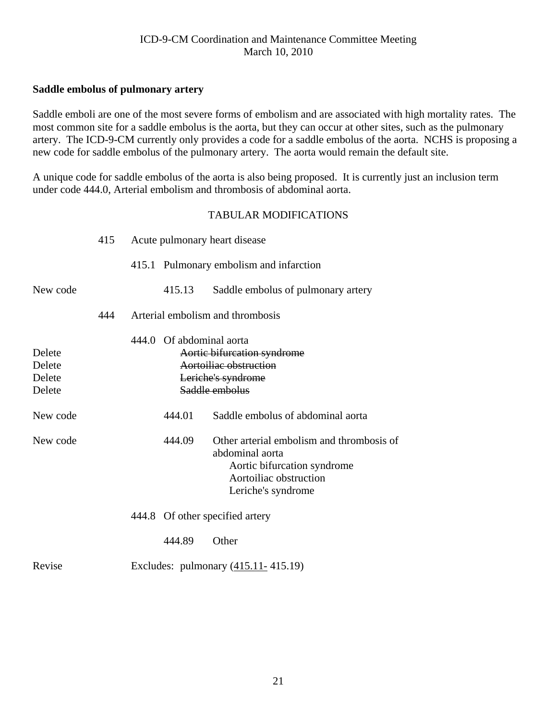## <span id="page-20-0"></span>**Saddle embolus of pulmonary artery**

Saddle emboli are one of the most severe forms of embolism and are associated with high mortality rates. The most common site for a saddle embolus is the aorta, but they can occur at other sites, such as the pulmonary artery. The ICD-9-CM currently only provides a code for a saddle embolus of the aorta. NCHS is proposing a new code for saddle embolus of the pulmonary artery. The aorta would remain the default site.

A unique code for saddle embolus of the aorta is also being proposed. It is currently just an inclusion term under code 444.0, Arterial embolism and thrombosis of abdominal aorta.

|                                      | 415 |                          | Acute pulmonary heart disease                                                                                                               |
|--------------------------------------|-----|--------------------------|---------------------------------------------------------------------------------------------------------------------------------------------|
|                                      |     |                          | 415.1 Pulmonary embolism and infarction                                                                                                     |
| New code                             |     | 415.13                   | Saddle embolus of pulmonary artery                                                                                                          |
|                                      | 444 |                          | Arterial embolism and thrombosis                                                                                                            |
| Delete<br>Delete<br>Delete<br>Delete |     | 444.0 Of abdominal aorta | Aortic bifurcation syndrome<br>Aortoiliae obstruction<br>Leriche's syndrome<br>Saddle embolus                                               |
| New code                             |     | 444.01                   | Saddle embolus of abdominal aorta                                                                                                           |
| New code                             |     | 444.09                   | Other arterial embolism and thrombosis of<br>abdominal aorta<br>Aortic bifurcation syndrome<br>Aortoiliac obstruction<br>Leriche's syndrome |
|                                      |     |                          | 444.8 Of other specified artery                                                                                                             |
|                                      |     | 444.89                   | Other                                                                                                                                       |
| Revise                               |     |                          | Excludes: pulmonary $(415.11 - 415.19)$                                                                                                     |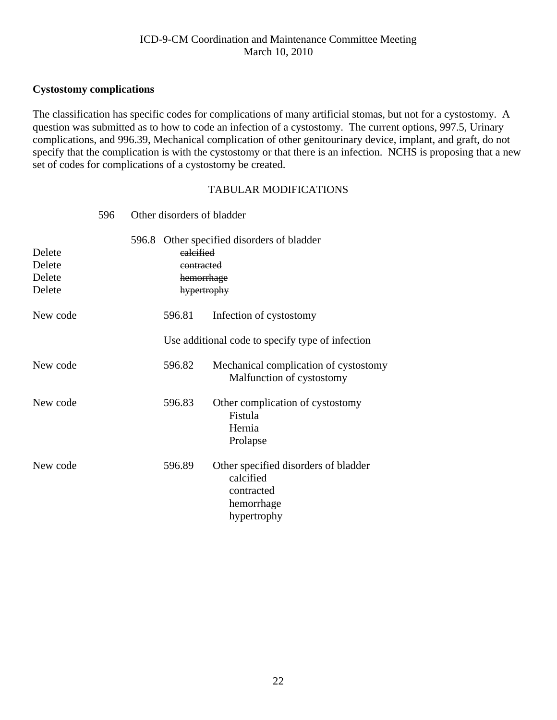## <span id="page-21-0"></span>**Cystostomy complications**

The classification has specific codes for complications of many artificial stomas, but not for a cystostomy. A question was submitted as to how to code an infection of a cystostomy. The current options, 997.5, Urinary complications, and 996.39, Mechanical complication of other genitourinary device, implant, and graft, do not specify that the complication is with the cystostomy or that there is an infection. NCHS is proposing that a new set of codes for complications of a cystostomy be created.

|                                      | 596 |       | Other disorders of bladder                           |                                                                                              |
|--------------------------------------|-----|-------|------------------------------------------------------|----------------------------------------------------------------------------------------------|
| Delete<br>Delete<br>Delete<br>Delete |     | 596.8 | ealcified<br>eontracted<br>hemorrhage<br>hypertrophy | Other specified disorders of bladder                                                         |
| New code                             |     |       | 596.81                                               | Infection of cystostomy                                                                      |
|                                      |     |       |                                                      | Use additional code to specify type of infection                                             |
| New code                             |     |       | 596.82                                               | Mechanical complication of cystostomy<br>Malfunction of cystostomy                           |
| New code                             |     |       | 596.83                                               | Other complication of cystostomy<br>Fistula<br>Hernia<br>Prolapse                            |
| New code                             |     |       | 596.89                                               | Other specified disorders of bladder<br>calcified<br>contracted<br>hemorrhage<br>hypertrophy |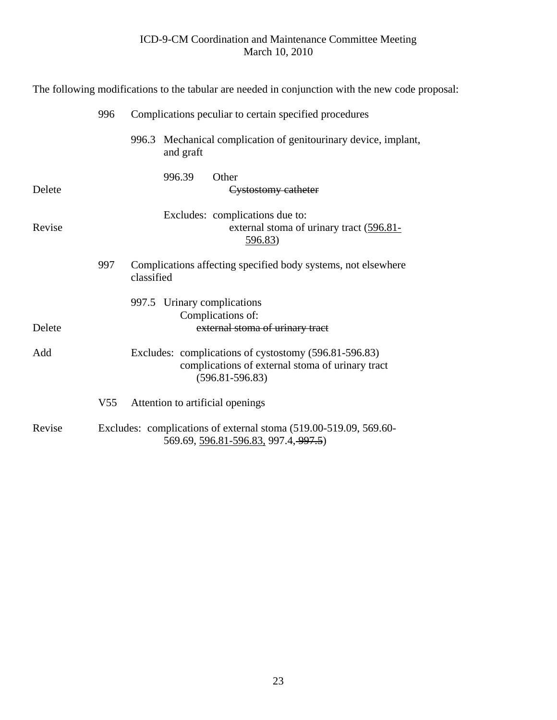|        | The following modifications to the tabular are needed in conjunction with the new code proposal: |                                                                                                                                  |  |  |  |  |  |
|--------|--------------------------------------------------------------------------------------------------|----------------------------------------------------------------------------------------------------------------------------------|--|--|--|--|--|
|        | 996                                                                                              | Complications peculiar to certain specified procedures                                                                           |  |  |  |  |  |
|        |                                                                                                  | Mechanical complication of genitourinary device, implant,<br>996.3<br>and graft                                                  |  |  |  |  |  |
| Delete |                                                                                                  | Other<br>996.39<br>Cystostomy catheter                                                                                           |  |  |  |  |  |
| Revise |                                                                                                  | Excludes: complications due to:<br>external stoma of urinary tract (596.81-<br>596.83)                                           |  |  |  |  |  |
|        | 997                                                                                              | Complications affecting specified body systems, not elsewhere<br>classified                                                      |  |  |  |  |  |
| Delete |                                                                                                  | 997.5 Urinary complications<br>Complications of:<br>external stoma of urinary tract                                              |  |  |  |  |  |
| Add    |                                                                                                  | Excludes: complications of cystostomy (596.81-596.83)<br>complications of external stoma of urinary tract<br>$(596.81 - 596.83)$ |  |  |  |  |  |
|        | V <sub>55</sub>                                                                                  | Attention to artificial openings                                                                                                 |  |  |  |  |  |
| Revise |                                                                                                  | Excludes: complications of external stoma (519.00-519.09, 569.60-<br>569.69, 596.81-596.83, 997.4, 997.5)                        |  |  |  |  |  |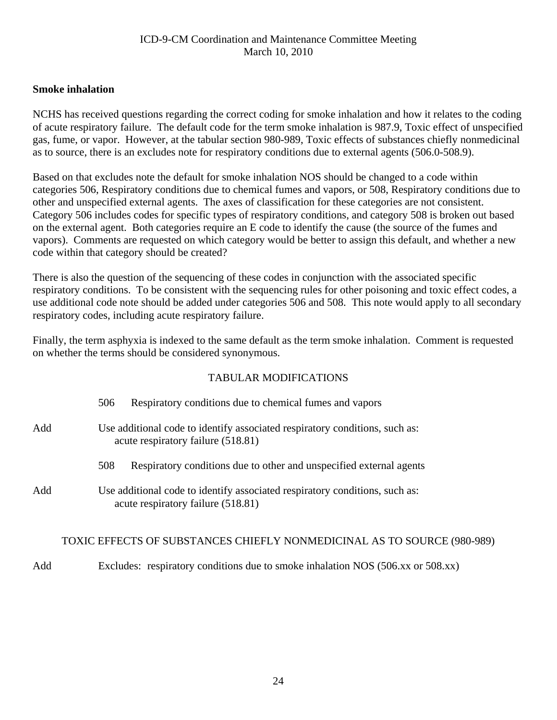## <span id="page-23-0"></span>**Smoke inhalation**

NCHS has received questions regarding the correct coding for smoke inhalation and how it relates to the coding of acute respiratory failure. The default code for the term smoke inhalation is 987.9, Toxic effect of unspecified gas, fume, or vapor. However, at the tabular section 980-989, Toxic effects of substances chiefly nonmedicinal as to source, there is an excludes note for respiratory conditions due to external agents (506.0-508.9).

Based on that excludes note the default for smoke inhalation NOS should be changed to a code within categories 506, Respiratory conditions due to chemical fumes and vapors, or 508, Respiratory conditions due to other and unspecified external agents. The axes of classification for these categories are not consistent. Category 506 includes codes for specific types of respiratory conditions, and category 508 is broken out based on the external agent. Both categories require an E code to identify the cause (the source of the fumes and vapors). Comments are requested on which category would be better to assign this default, and whether a new code within that category should be created?

There is also the question of the sequencing of these codes in conjunction with the associated specific respiratory conditions. To be consistent with the sequencing rules for other poisoning and toxic effect codes, a use additional code note should be added under categories 506 and 508. This note would apply to all secondary respiratory codes, including acute respiratory failure.

Finally, the term asphyxia is indexed to the same default as the term smoke inhalation. Comment is requested on whether the terms should be considered synonymous.

## TABULAR MODIFICATIONS

|     | Respiratory conditions due to chemical fumes and vapors<br>506                                                    |
|-----|-------------------------------------------------------------------------------------------------------------------|
| Add | Use additional code to identify associated respiratory conditions, such as:<br>acute respiratory failure (518.81) |
|     | Respiratory conditions due to other and unspecified external agents<br>508                                        |
| Add | Use additional code to identify associated respiratory conditions, such as:<br>acute respiratory failure (518.81) |

#### TOXIC EFFECTS OF SUBSTANCES CHIEFLY NONMEDICINAL AS TO SOURCE (980-989)

Add Excludes: respiratory conditions due to smoke inhalation NOS (506.xx or 508.xx)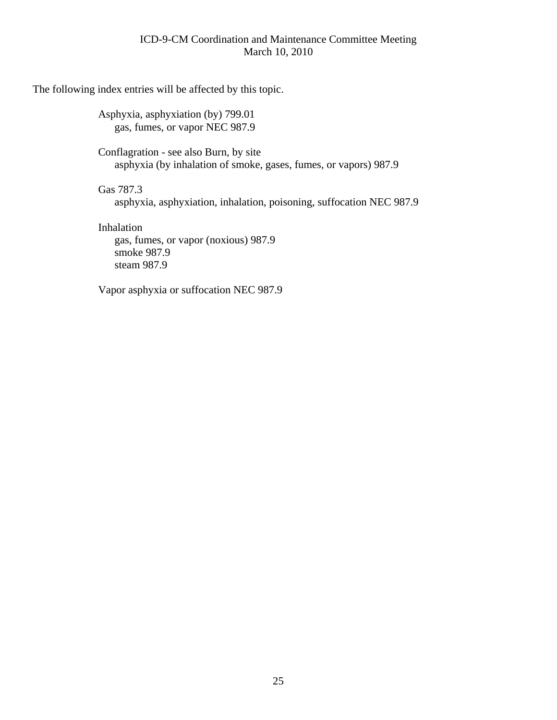The following index entries will be affected by this topic.

 Asphyxia, asphyxiation (by) 799.01 gas, fumes, or vapor NEC 987.9

 Conflagration - see also Burn, by site asphyxia (by inhalation of smoke, gases, fumes, or vapors) 987.9

Gas 787.3

asphyxia, asphyxiation, inhalation, poisoning, suffocation NEC 987.9

 Inhalation gas, fumes, or vapor (noxious) 987.9 smoke 987.9 steam 987.9

Vapor asphyxia or suffocation NEC 987.9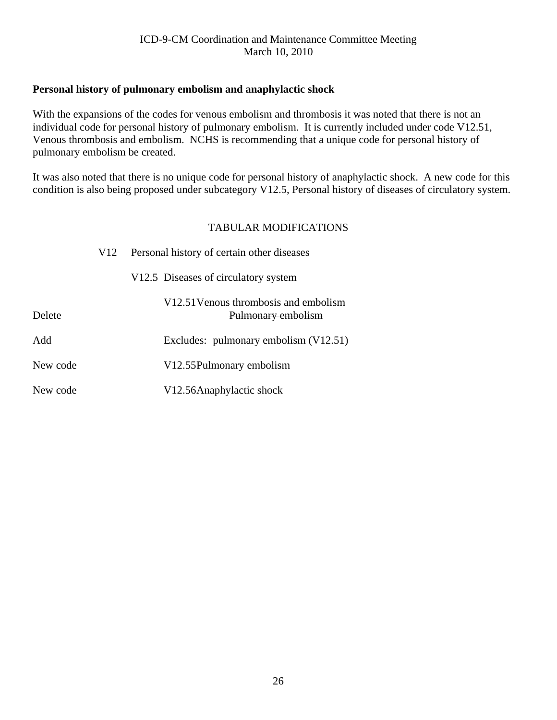## <span id="page-25-0"></span>**Personal history of pulmonary embolism and anaphylactic shock**

With the expansions of the codes for venous embolism and thrombosis it was noted that there is not an individual code for personal history of pulmonary embolism. It is currently included under code V12.51, Venous thrombosis and embolism. NCHS is recommending that a unique code for personal history of pulmonary embolism be created.

It was also noted that there is no unique code for personal history of anaphylactic shock. A new code for this condition is also being proposed under subcategory V12.5, Personal history of diseases of circulatory system.

|          | V12 | Personal history of certain other diseases                  |
|----------|-----|-------------------------------------------------------------|
|          |     | V12.5 Diseases of circulatory system                        |
| Delete   |     | V12.51 Venous thrombosis and embolism<br>Pulmonary embolism |
| Add      |     | Excludes: pulmonary embolism (V12.51)                       |
| New code |     | V12.55 Pulmonary embolism                                   |
| New code |     | V12.56Anaphylactic shock                                    |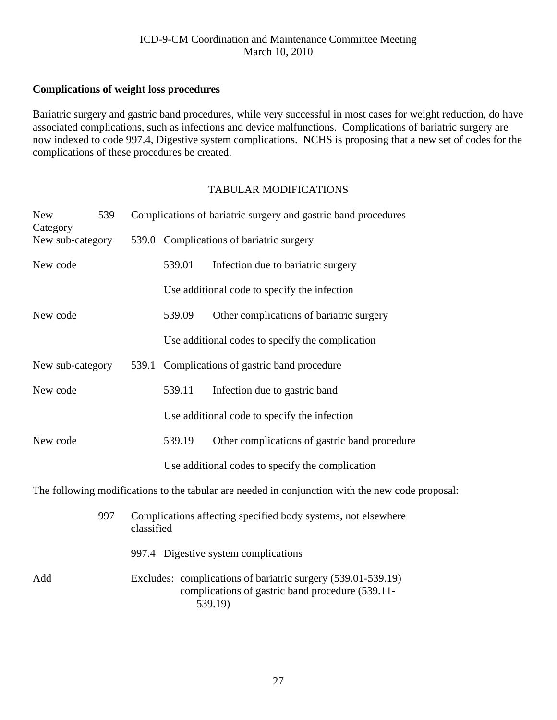## <span id="page-26-0"></span>**Complications of weight loss procedures**

Bariatric surgery and gastric band procedures, while very successful in most cases for weight reduction, do have associated complications, such as infections and device malfunctions. Complications of bariatric surgery are now indexed to code 997.4, Digestive system complications. NCHS is proposing that a new set of codes for the complications of these procedures be created.

## TABULAR MODIFICATIONS

| <b>New</b><br>Category | 539 |       | Complications of bariatric surgery and gastric band procedures                                                   |                                                                                                  |  |  |
|------------------------|-----|-------|------------------------------------------------------------------------------------------------------------------|--------------------------------------------------------------------------------------------------|--|--|
| New sub-category       |     |       | 539.0 Complications of bariatric surgery                                                                         |                                                                                                  |  |  |
| New code               |     |       | 539.01                                                                                                           | Infection due to bariatric surgery                                                               |  |  |
|                        |     |       |                                                                                                                  | Use additional code to specify the infection                                                     |  |  |
| New code               |     |       | 539.09                                                                                                           | Other complications of bariatric surgery                                                         |  |  |
|                        |     |       |                                                                                                                  | Use additional codes to specify the complication                                                 |  |  |
| New sub-category       |     | 539.1 | Complications of gastric band procedure                                                                          |                                                                                                  |  |  |
| New code               |     |       | 539.11                                                                                                           | Infection due to gastric band                                                                    |  |  |
|                        |     |       |                                                                                                                  | Use additional code to specify the infection                                                     |  |  |
| New code               |     |       | 539.19                                                                                                           | Other complications of gastric band procedure                                                    |  |  |
|                        |     |       |                                                                                                                  | Use additional codes to specify the complication                                                 |  |  |
|                        |     |       |                                                                                                                  | The following modifications to the tabular are needed in conjunction with the new code proposal: |  |  |
|                        | 997 |       | Complications affecting specified body systems, not elsewhere<br>classified                                      |                                                                                                  |  |  |
|                        |     |       |                                                                                                                  | 997.4 Digestive system complications                                                             |  |  |
| Add                    |     |       | Excludes: complications of bariatric surgery (539.01-539.19)<br>complications of gastric band procedure (539.11- |                                                                                                  |  |  |

539.19)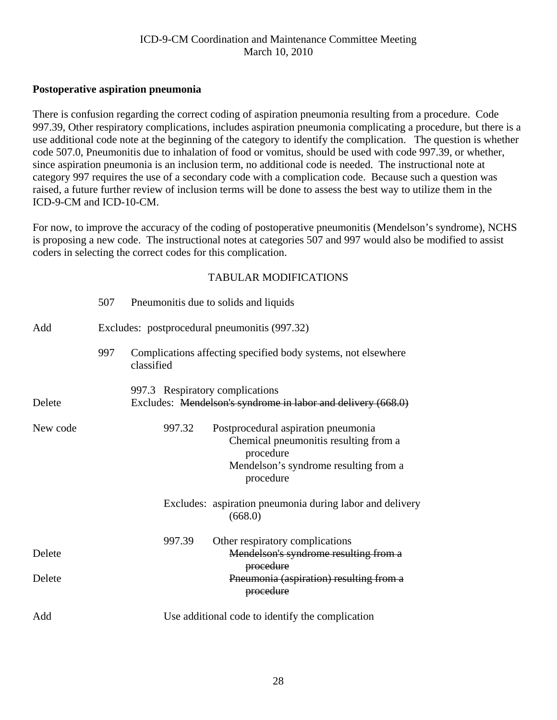#### <span id="page-27-0"></span>**Postoperative aspiration pneumonia**

There is confusion regarding the correct coding of aspiration pneumonia resulting from a procedure. Code 997.39, Other respiratory complications, includes aspiration pneumonia complicating a procedure, but there is a use additional code note at the beginning of the category to identify the complication. The question is whether code 507.0, Pneumonitis due to inhalation of food or vomitus, should be used with code 997.39, or whether, since aspiration pneumonia is an inclusion term, no additional code is needed. The instructional note at category 997 requires the use of a secondary code with a complication code. Because such a question was raised, a future further review of inclusion terms will be done to assess the best way to utilize them in the ICD-9-CM and ICD-10-CM.

For now, to improve the accuracy of the coding of postoperative pneumonitis (Mendelson's syndrome), NCHS is proposing a new code. The instructional notes at categories 507 and 997 would also be modified to assist coders in selecting the correct codes for this complication.

|          | 507 | Pneumonitis due to solids and liquids                                                           |        |                                                                                                                                                 |  |  |  |
|----------|-----|-------------------------------------------------------------------------------------------------|--------|-------------------------------------------------------------------------------------------------------------------------------------------------|--|--|--|
| Add      |     | Excludes: postprocedural pneumonitis (997.32)                                                   |        |                                                                                                                                                 |  |  |  |
|          | 997 | classified                                                                                      |        | Complications affecting specified body systems, not elsewhere                                                                                   |  |  |  |
| Delete   |     | 997.3 Respiratory complications<br>Excludes: Mendelson's syndrome in labor and delivery (668.0) |        |                                                                                                                                                 |  |  |  |
| New code |     |                                                                                                 | 997.32 | Postprocedural aspiration pneumonia<br>Chemical pneumonitis resulting from a<br>procedure<br>Mendelson's syndrome resulting from a<br>procedure |  |  |  |
|          |     |                                                                                                 |        | Excludes: aspiration pneumonia during labor and delivery<br>(668.0)                                                                             |  |  |  |
| Delete   |     |                                                                                                 | 997.39 | Other respiratory complications<br>Mendelson's syndrome resulting from a<br>procedure                                                           |  |  |  |
| Delete   |     |                                                                                                 |        | Pneumonia (aspiration) resulting from a<br>procedure                                                                                            |  |  |  |
| Add      |     | Use additional code to identify the complication                                                |        |                                                                                                                                                 |  |  |  |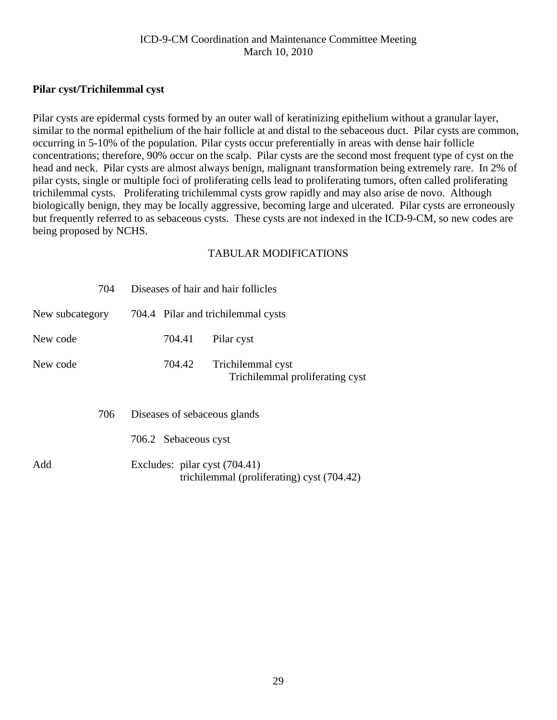## <span id="page-28-0"></span>**Pilar cyst/Trichilemmal cyst**

Pilar cysts are epidermal cysts formed by an outer wall of keratinizing epithelium without a granular layer, similar to the normal epithelium of the hair follicle at and distal to the sebaceous duct. Pilar cysts are common, occurring in 5-10% of the population. Pilar cysts occur preferentially in areas with dense hair follicle concentrations; therefore, 90% occur on the scalp. Pilar cysts are the second most frequent type of cyst on the head and neck. Pilar cysts are almost always benign, malignant transformation being extremely rare. In 2% of pilar cysts, single or multiple foci of proliferating cells lead to proliferating tumors, often called proliferating trichilemmal cysts. Proliferating trichilemmal cysts grow rapidly and may also arise de novo. Although biologically benign, they may be locally aggressive, becoming large and ulcerated. Pilar cysts are erroneously but frequently referred to as sebaceous cysts. These cysts are not indexed in the ICD-9-CM, so new codes are being proposed by NCHS.

| 704             |                                    | Diseases of hair and hair follicles                                         |  |  |
|-----------------|------------------------------------|-----------------------------------------------------------------------------|--|--|
| New subcategory | 704.4 Pilar and trichilemmal cysts |                                                                             |  |  |
| New code        | 704.41                             | Pilar cyst                                                                  |  |  |
| New code        | 704.42                             | Trichilemmal cyst<br>Trichilemmal proliferating cyst                        |  |  |
| 706             |                                    | Diseases of sebaceous glands                                                |  |  |
|                 | 706.2 Sebaceous cyst               |                                                                             |  |  |
| Add             |                                    | Excludes: pilar cyst (704.41)<br>trichilemmal (proliferating) cyst (704.42) |  |  |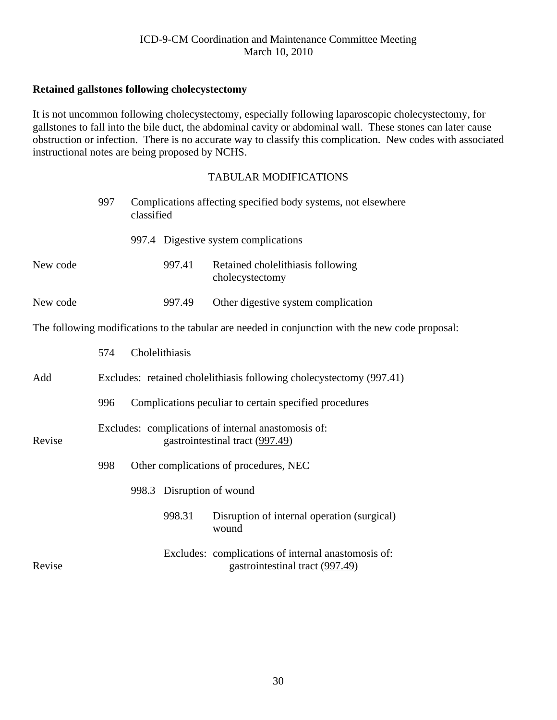## <span id="page-29-0"></span>**Retained gallstones following cholecystectomy**

It is not uncommon following cholecystectomy, especially following laparoscopic cholecystectomy, for gallstones to fall into the bile duct, the abdominal cavity or abdominal wall. These stones can later cause obstruction or infection. There is no accurate way to classify this complication. New codes with associated instructional notes are being proposed by NCHS.

|          | 997 | classified |                           | Complications affecting specified body systems, not elsewhere                                    |
|----------|-----|------------|---------------------------|--------------------------------------------------------------------------------------------------|
|          |     |            |                           | 997.4 Digestive system complications                                                             |
| New code |     |            | 997.41                    | Retained cholelithiasis following<br>cholecystectomy                                             |
| New code |     |            | 997.49                    | Other digestive system complication                                                              |
|          |     |            |                           | The following modifications to the tabular are needed in conjunction with the new code proposal: |
|          | 574 |            | Cholelithiasis            |                                                                                                  |
| Add      |     |            |                           | Excludes: retained cholelithiasis following cholecystectomy (997.41)                             |
|          | 996 |            |                           | Complications peculiar to certain specified procedures                                           |
| Revise   |     |            |                           | Excludes: complications of internal anastomosis of:<br>gastrointestinal tract (997.49)           |
|          | 998 |            |                           | Other complications of procedures, NEC                                                           |
|          |     |            | 998.3 Disruption of wound |                                                                                                  |
|          |     |            | 998.31                    | Disruption of internal operation (surgical)<br>wound                                             |
| Revise   |     |            |                           | Excludes: complications of internal anastomosis of:<br>gastrointestinal tract (997.49)           |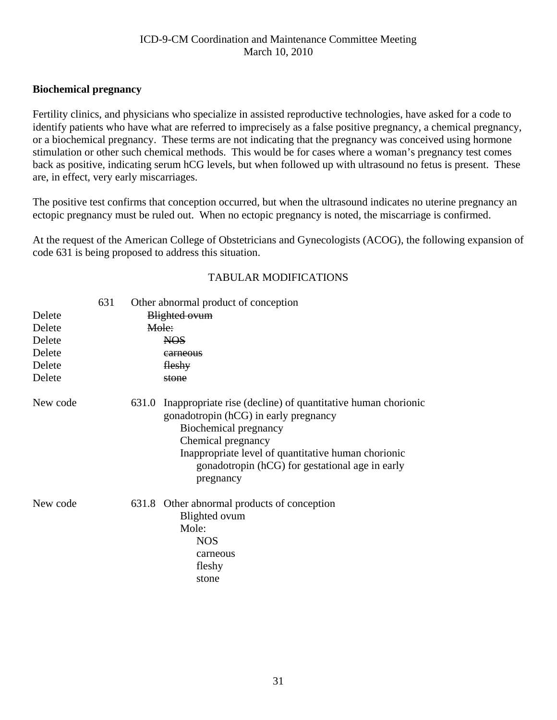#### <span id="page-30-0"></span>**Biochemical pregnancy**

Fertility clinics, and physicians who specialize in assisted reproductive technologies, have asked for a code to identify patients who have what are referred to imprecisely as a false positive pregnancy, a chemical pregnancy, or a biochemical pregnancy. These terms are not indicating that the pregnancy was conceived using hormone stimulation or other such chemical methods. This would be for cases where a woman's pregnancy test comes back as positive, indicating serum hCG levels, but when followed up with ultrasound no fetus is present. These are, in effect, very early miscarriages.

The positive test confirms that conception occurred, but when the ultrasound indicates no uterine pregnancy an ectopic pregnancy must be ruled out. When no ectopic pregnancy is noted, the miscarriage is confirmed.

At the request of the American College of Obstetricians and Gynecologists (ACOG), the following expansion of code 631 is being proposed to address this situation.

| Delete<br>Delete<br>Delete<br>Delete | 631 | Other abnormal product of conception<br><b>Blighted ovum</b><br>Mole:<br><b>NOS</b><br>carneous |                                                                                                                                                                                                                                                                                   |  |
|--------------------------------------|-----|-------------------------------------------------------------------------------------------------|-----------------------------------------------------------------------------------------------------------------------------------------------------------------------------------------------------------------------------------------------------------------------------------|--|
| Delete                               |     |                                                                                                 | fleshy                                                                                                                                                                                                                                                                            |  |
| Delete                               |     |                                                                                                 | stone                                                                                                                                                                                                                                                                             |  |
| New code                             |     |                                                                                                 | 631.0 Inappropriate rise (decline) of quantitative human chorionic<br>gonadotropin (hCG) in early pregnancy<br>Biochemical pregnancy<br>Chemical pregnancy<br>Inappropriate level of quantitative human chorionic<br>gonadotropin (hCG) for gestational age in early<br>pregnancy |  |
| New code                             |     |                                                                                                 | 631.8 Other abnormal products of conception<br>Blighted ovum<br>Mole:<br><b>NOS</b><br>carneous<br>fleshy<br>stone                                                                                                                                                                |  |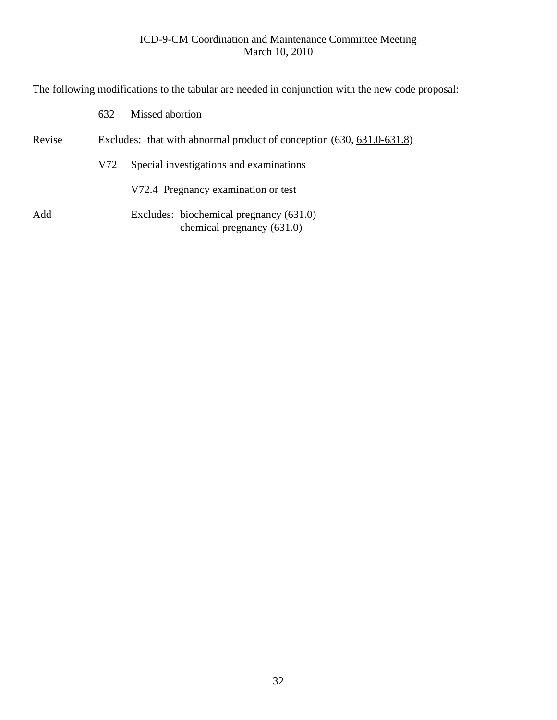The following modifications to the tabular are needed in conjunction with the new code proposal:

|        | 632                                                                   | Missed abortion                                                       |  |  |  |
|--------|-----------------------------------------------------------------------|-----------------------------------------------------------------------|--|--|--|
| Revise | Excludes: that with abnormal product of conception (630, 631.0-631.8) |                                                                       |  |  |  |
|        | V72                                                                   | Special investigations and examinations                               |  |  |  |
|        |                                                                       | V72.4 Pregnancy examination or test                                   |  |  |  |
| Add    |                                                                       | Excludes: biochemical pregnancy (631.0)<br>chemical pregnancy (631.0) |  |  |  |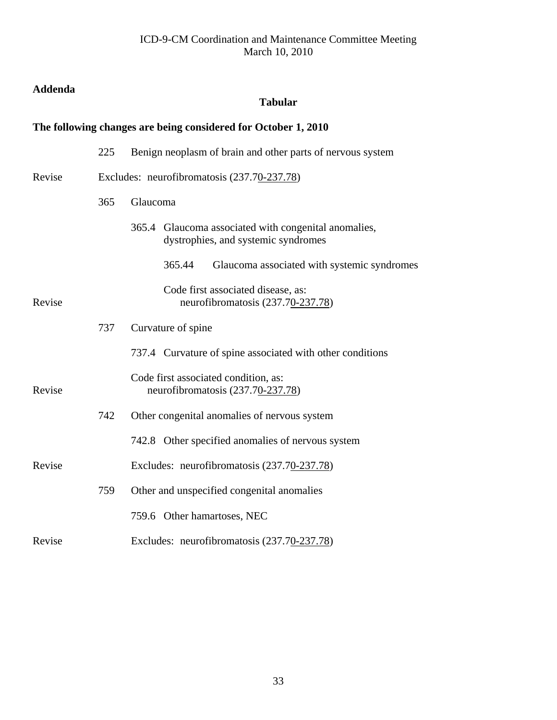# <span id="page-32-0"></span>**Addenda**

# **Tabular**

# **The following changes are being considered for October 1, 2010**

|        | 225 | Benign neoplasm of brain and other parts of nervous system                                     |  |  |  |  |
|--------|-----|------------------------------------------------------------------------------------------------|--|--|--|--|
| Revise |     | Excludes: neurofibromatosis (237.70-237.78)                                                    |  |  |  |  |
|        | 365 | Glaucoma                                                                                       |  |  |  |  |
|        |     | Glaucoma associated with congenital anomalies,<br>365.4<br>dystrophies, and systemic syndromes |  |  |  |  |
|        |     | 365.44<br>Glaucoma associated with systemic syndromes                                          |  |  |  |  |
| Revise |     | Code first associated disease, as:<br>neurofibromatosis (237.70-237.78)                        |  |  |  |  |
|        | 737 | Curvature of spine                                                                             |  |  |  |  |
|        |     | 737.4 Curvature of spine associated with other conditions                                      |  |  |  |  |
| Revise |     | Code first associated condition, as:<br>neurofibromatosis (237.70-237.78)                      |  |  |  |  |
|        | 742 | Other congenital anomalies of nervous system                                                   |  |  |  |  |
|        |     | 742.8 Other specified anomalies of nervous system                                              |  |  |  |  |
| Revise |     | Excludes: neurofibromatosis (237.70-237.78)                                                    |  |  |  |  |
|        | 759 | Other and unspecified congenital anomalies                                                     |  |  |  |  |
|        |     | 759.6 Other hamartoses, NEC                                                                    |  |  |  |  |
| Revise |     | Excludes: neurofibromatosis (237.70-237.78)                                                    |  |  |  |  |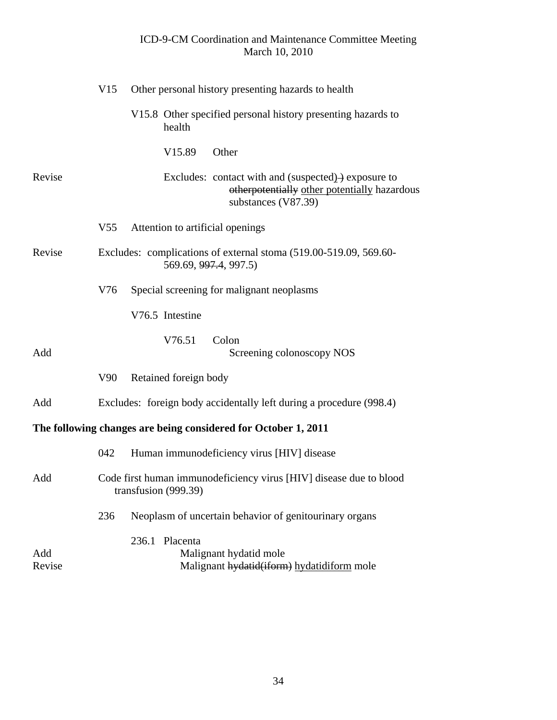|               | V15             | Other personal history presenting hazards to health                                                                                     |
|---------------|-----------------|-----------------------------------------------------------------------------------------------------------------------------------------|
|               |                 | V15.8 Other specified personal history presenting hazards to<br>health                                                                  |
|               |                 | Other<br>V <sub>15.89</sub>                                                                                                             |
| Revise        |                 | Excludes: contact with and (suspected) $\rightarrow$ exposure to<br>otherpotentially other potentially hazardous<br>substances (V87.39) |
|               | V <sub>55</sub> | Attention to artificial openings                                                                                                        |
| Revise        |                 | Excludes: complications of external stoma (519.00-519.09, 569.60-<br>569.69, 997.4, 997.5)                                              |
|               | V76             | Special screening for malignant neoplasms                                                                                               |
|               |                 | V76.5 Intestine                                                                                                                         |
| Add           |                 | V76.51<br>Colon<br>Screening colonoscopy NOS                                                                                            |
|               | V90             | Retained foreign body                                                                                                                   |
| Add           |                 | Excludes: foreign body accidentally left during a procedure (998.4)                                                                     |
|               |                 | The following changes are being considered for October 1, 2011                                                                          |
|               | 042             | Human immunodeficiency virus [HIV] disease                                                                                              |
| Add           |                 | Code first human immunodeficiency virus [HIV] disease due to blood<br>transfusion (999.39)                                              |
|               | 236             | Neoplasm of uncertain behavior of genitourinary organs                                                                                  |
| Add<br>Revise |                 | Placenta<br>236.1<br>Malignant hydatid mole<br>Malignant hydatid(iform) hydatidiform mole                                               |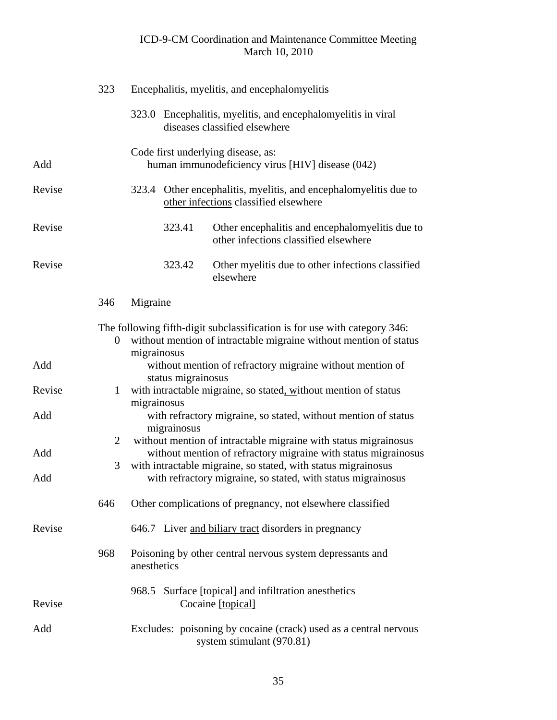|        | 323              |             |                    | Encephalitis, myelitis, and encephalomyelitis                                                                                                  |
|--------|------------------|-------------|--------------------|------------------------------------------------------------------------------------------------------------------------------------------------|
|        |                  | 323.0       |                    | Encephalitis, myelitis, and encephalomyelitis in viral<br>diseases classified elsewhere                                                        |
| Add    |                  |             |                    | Code first underlying disease, as:<br>human immunodeficiency virus [HIV] disease (042)                                                         |
| Revise |                  | 323.4       |                    | Other encephalitis, myelitis, and encephalomyelitis due to<br>other infections classified elsewhere                                            |
| Revise |                  |             | 323.41             | Other encephalitis and encephalomyelitis due to<br>other infections classified elsewhere                                                       |
| Revise |                  |             | 323.42             | Other myelitis due to other infections classified<br>elsewhere                                                                                 |
|        | 346              | Migraine    |                    |                                                                                                                                                |
|        | $\boldsymbol{0}$ |             |                    | The following fifth-digit subclassification is for use with category 346:<br>without mention of intractable migraine without mention of status |
| Add    |                  | migrainosus | status migrainosus | without mention of refractory migraine without mention of                                                                                      |
| Revise | $\mathbf{1}$     |             |                    | with intractable migraine, so stated, without mention of status                                                                                |
| Add    |                  | migrainosus | migrainosus        | with refractory migraine, so stated, without mention of status                                                                                 |
|        | $\overline{2}$   |             |                    | without mention of intractable migraine with status migrainosus                                                                                |
| Add    | 3                |             |                    | without mention of refractory migraine with status migrainosus<br>with intractable migraine, so stated, with status migrainosus                |
| Add    |                  |             |                    | with refractory migraine, so stated, with status migrainosus                                                                                   |
|        | 646              |             |                    | Other complications of pregnancy, not elsewhere classified                                                                                     |
| Revise |                  |             |                    | 646.7 Liver and biliary tract disorders in pregnancy                                                                                           |
|        | 968              | anesthetics |                    | Poisoning by other central nervous system depressants and                                                                                      |
| Revise |                  |             |                    | 968.5 Surface [topical] and infiltration anesthetics<br>Cocaine [topical]                                                                      |
| Add    |                  |             |                    | Excludes: poisoning by cocaine (crack) used as a central nervous<br>system stimulant (970.81)                                                  |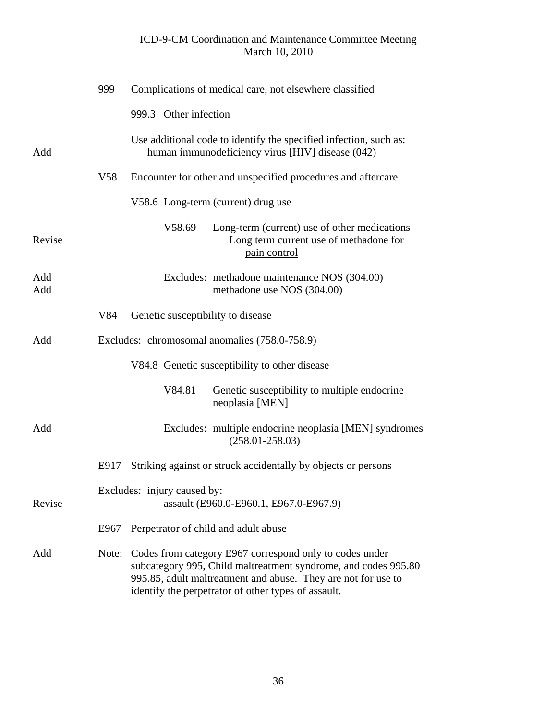|            | 999   | Complications of medical care, not elsewhere classified                                                                                                                                                                                           |  |
|------------|-------|---------------------------------------------------------------------------------------------------------------------------------------------------------------------------------------------------------------------------------------------------|--|
|            |       | 999.3 Other infection                                                                                                                                                                                                                             |  |
| Add        |       | Use additional code to identify the specified infection, such as:<br>human immunodeficiency virus [HIV] disease (042)                                                                                                                             |  |
|            | V58   | Encounter for other and unspecified procedures and aftercare                                                                                                                                                                                      |  |
|            |       | V58.6 Long-term (current) drug use                                                                                                                                                                                                                |  |
| Revise     |       | V58.69<br>Long-term (current) use of other medications<br>Long term current use of methadone for<br>pain control                                                                                                                                  |  |
| Add<br>Add |       | Excludes: methadone maintenance NOS (304.00)<br>methadone use NOS (304.00)                                                                                                                                                                        |  |
|            | V84   | Genetic susceptibility to disease                                                                                                                                                                                                                 |  |
| Add        |       | Excludes: chromosomal anomalies (758.0-758.9)                                                                                                                                                                                                     |  |
|            |       | V84.8 Genetic susceptibility to other disease                                                                                                                                                                                                     |  |
|            |       | V84.81<br>Genetic susceptibility to multiple endocrine<br>neoplasia [MEN]                                                                                                                                                                         |  |
| Add        |       | Excludes: multiple endocrine neoplasia [MEN] syndromes<br>$(258.01 - 258.03)$                                                                                                                                                                     |  |
|            | E917  | Striking against or struck accidentally by objects or persons                                                                                                                                                                                     |  |
| Revise     |       | Excludes: injury caused by:<br>assault (E960.0-E960.1, E967.0-E967.9)                                                                                                                                                                             |  |
|            | E967  | Perpetrator of child and adult abuse                                                                                                                                                                                                              |  |
| Add        | Note: | Codes from category E967 correspond only to codes under<br>subcategory 995, Child maltreatment syndrome, and codes 995.80<br>995.85, adult maltreatment and abuse. They are not for use to<br>identify the perpetrator of other types of assault. |  |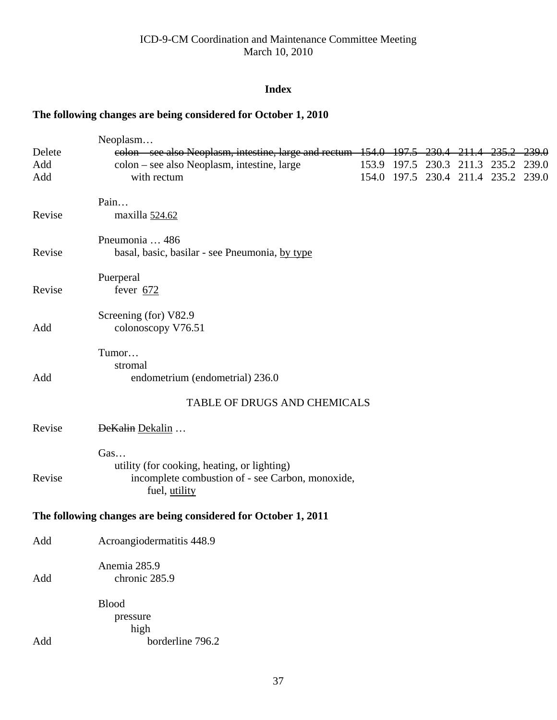## **Index**

## **The following changes are being considered for October 1, 2010**

|        | Neoplasm                                                                 |  |        |                                     |        |
|--------|--------------------------------------------------------------------------|--|--------|-------------------------------------|--------|
| Delete | eolon – see also Neoplasm, intestine, large and rectum 154.0 197.5 230.4 |  | -211.4 | <del>235.2-</del>                   | -239.0 |
| Add    | colon - see also Neoplasm, intestine, large                              |  |        | 153.9 197.5 230.3 211.3 235.2 239.0 |        |
| Add    | with rectum                                                              |  |        | 154.0 197.5 230.4 211.4 235.2 239.0 |        |
|        | Pain                                                                     |  |        |                                     |        |
| Revise | maxilla 524.62                                                           |  |        |                                     |        |
|        | Pneumonia  486                                                           |  |        |                                     |        |
| Revise | basal, basic, basilar - see Pneumonia, by type                           |  |        |                                     |        |
|        | Puerperal                                                                |  |        |                                     |        |
| Revise | fever $672$                                                              |  |        |                                     |        |
|        | Screening (for) V82.9                                                    |  |        |                                     |        |
| Add    | colonoscopy V76.51                                                       |  |        |                                     |        |
|        | Tumor                                                                    |  |        |                                     |        |
|        | stromal                                                                  |  |        |                                     |        |
| Add    | endometrium (endometrial) 236.0                                          |  |        |                                     |        |
|        | TABLE OF DRUGS AND CHEMICALS                                             |  |        |                                     |        |
| Revise | DeKalin Dekalin                                                          |  |        |                                     |        |
|        | Gas                                                                      |  |        |                                     |        |
|        | utility (for cooking, heating, or lighting)                              |  |        |                                     |        |
| Revise | incomplete combustion of - see Carbon, monoxide,<br>fuel, utility        |  |        |                                     |        |
|        | The following changes are being considered for October 1, 2011           |  |        |                                     |        |
| Add    | Acroangiodermatitis 448.9                                                |  |        |                                     |        |
|        | Anemia 285.9                                                             |  |        |                                     |        |
| Add    | chronic 285.9                                                            |  |        |                                     |        |
|        | <b>Blood</b>                                                             |  |        |                                     |        |
|        | pressure                                                                 |  |        |                                     |        |
|        | high                                                                     |  |        |                                     |        |
| Add    | borderline 796.2                                                         |  |        |                                     |        |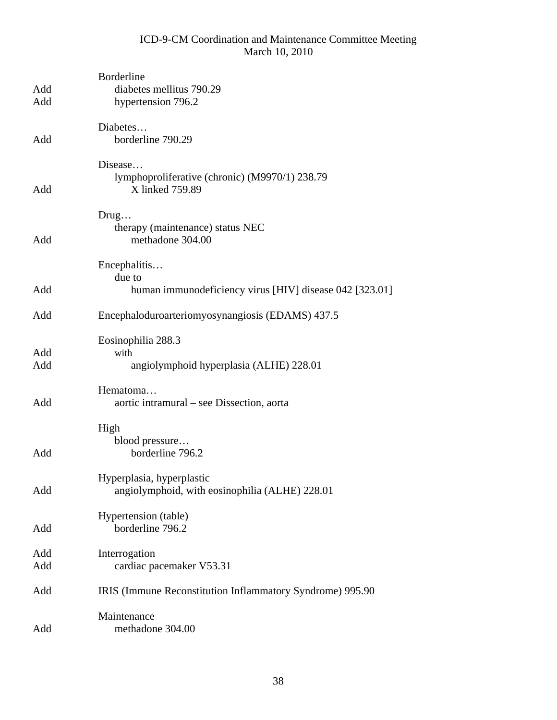| Add<br>Add | Borderline<br>diabetes mellitus 790.29<br>hypertension 796.2                 |
|------------|------------------------------------------------------------------------------|
| Add        | Diabetes<br>borderline 790.29                                                |
| Add        | Disease<br>lymphoproliferative (chronic) (M9970/1) 238.79<br>X linked 759.89 |
| Add        | Drug<br>therapy (maintenance) status NEC<br>methadone 304.00                 |
|            | Encephalitis<br>due to                                                       |
| Add        | human immunodeficiency virus [HIV] disease 042 [323.01]                      |
| Add        | Encephaloduroarteriomyosynangiosis (EDAMS) 437.5                             |
|            | Eosinophilia 288.3                                                           |
| Add<br>Add | with<br>angiolymphoid hyperplasia (ALHE) 228.01                              |
|            |                                                                              |
| Add        | Hematoma<br>aortic intramural – see Dissection, aorta                        |
|            | High                                                                         |
| Add        | blood pressure<br>borderline 796.2                                           |
| Add        | Hyperplasia, hyperplastic<br>angiolymphoid, with eosinophilia (ALHE) 228.01  |
| Add        | Hypertension (table)<br>borderline 796.2                                     |
| Add        | Interrogation                                                                |
| Add        | cardiac pacemaker V53.31                                                     |
| Add        | IRIS (Immune Reconstitution Inflammatory Syndrome) 995.90                    |
| Add        | Maintenance<br>methadone 304.00                                              |